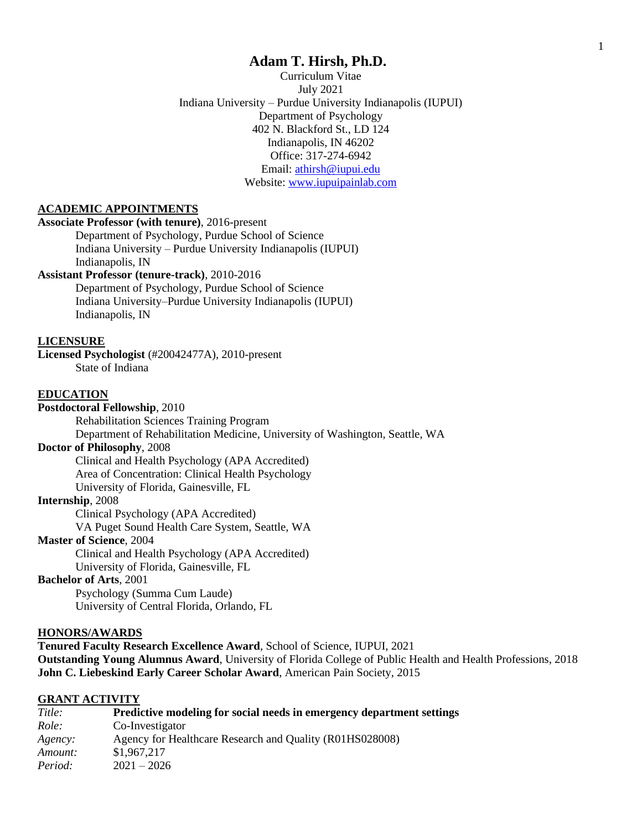# **Adam T. Hirsh, Ph.D.**

Curriculum Vitae July 2021 Indiana University – Purdue University Indianapolis (IUPUI) Department of Psychology 402 N. Blackford St., LD 124 Indianapolis, IN 46202 Office: 317-274-6942 Email: [athirsh@iupui.edu](mailto:athirsh@iupui.edu) Website: [www.iupuipainlab.com](http://www.iupuipainlab.com/)

## **ACADEMIC APPOINTMENTS**

## **Associate Professor (with tenure)**, 2016-present

Department of Psychology, Purdue School of Science Indiana University – Purdue University Indianapolis (IUPUI) Indianapolis, IN

### **Assistant Professor (tenure-track)**, 2010-2016

Department of Psychology, Purdue School of Science Indiana University–Purdue University Indianapolis (IUPUI) Indianapolis, IN

#### **LICENSURE**

**Licensed Psychologist** (#20042477A), 2010-present State of Indiana

### **EDUCATION**

**Postdoctoral Fellowship**, 2010

Rehabilitation Sciences Training Program

Department of Rehabilitation Medicine, University of Washington, Seattle, WA

# **Doctor of Philosophy**, 2008

Clinical and Health Psychology (APA Accredited) Area of Concentration: Clinical Health Psychology University of Florida, Gainesville, FL

#### **Internship**, 2008

Clinical Psychology (APA Accredited) VA Puget Sound Health Care System, Seattle, WA

#### **Master of Science**, 2004

Clinical and Health Psychology (APA Accredited)

University of Florida, Gainesville, FL

## **Bachelor of Arts**, 2001

Psychology (Summa Cum Laude) University of Central Florida, Orlando, FL

#### **HONORS/AWARDS**

**Tenured Faculty Research Excellence Award**, School of Science, IUPUI, 2021 **Outstanding Young Alumnus Award**, University of Florida College of Public Health and Health Professions, 2018 **John C. Liebeskind Early Career Scholar Award**, American Pain Society, 2015

#### **GRANT ACTIVITY**

| Title:  | Predictive modeling for social needs in emergency department settings |
|---------|-----------------------------------------------------------------------|
| Role:   | Co-Investigator                                                       |
| Agency: | Agency for Healthcare Research and Quality (R01HS028008)              |
| Amount: | \$1,967,217                                                           |
| Period: | $2021 - 2026$                                                         |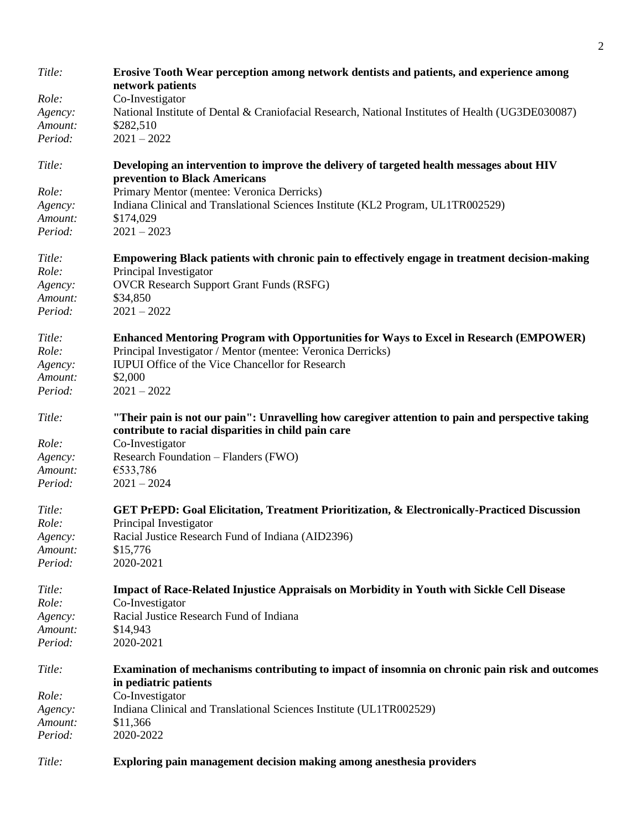| Title:  | Erosive Tooth Wear perception among network dentists and patients, and experience among<br>network patients                                             |
|---------|---------------------------------------------------------------------------------------------------------------------------------------------------------|
| Role:   | Co-Investigator                                                                                                                                         |
| Agency: | National Institute of Dental & Craniofacial Research, National Institutes of Health (UG3DE030087)                                                       |
| Amount: | \$282,510                                                                                                                                               |
| Period: | $2021 - 2022$                                                                                                                                           |
| Title:  | Developing an intervention to improve the delivery of targeted health messages about HIV<br>prevention to Black Americans                               |
| Role:   | Primary Mentor (mentee: Veronica Derricks)                                                                                                              |
| Agency: | Indiana Clinical and Translational Sciences Institute (KL2 Program, UL1TR002529)                                                                        |
| Amount: | \$174,029                                                                                                                                               |
| Period: | $2021 - 2023$                                                                                                                                           |
| Title:  | Empowering Black patients with chronic pain to effectively engage in treatment decision-making                                                          |
| Role:   | Principal Investigator                                                                                                                                  |
| Agency: | <b>OVCR Research Support Grant Funds (RSFG)</b>                                                                                                         |
| Amount: | \$34,850                                                                                                                                                |
| Period: | $2021 - 2022$                                                                                                                                           |
| Title:  | <b>Enhanced Mentoring Program with Opportunities for Ways to Excel in Research (EMPOWER)</b>                                                            |
| Role:   | Principal Investigator / Mentor (mentee: Veronica Derricks)                                                                                             |
| Agency: | <b>IUPUI</b> Office of the Vice Chancellor for Research                                                                                                 |
| Amount: | \$2,000                                                                                                                                                 |
| Period: | $2021 - 2022$                                                                                                                                           |
| Title:  | "Their pain is not our pain": Unravelling how caregiver attention to pain and perspective taking<br>contribute to racial disparities in child pain care |
| Role:   | Co-Investigator                                                                                                                                         |
| Agency: | Research Foundation - Flanders (FWO)                                                                                                                    |
| Amount: | €533,786                                                                                                                                                |
| Period: | $2021 - 2024$                                                                                                                                           |
| Title:  | GET PrEPD: Goal Elicitation, Treatment Prioritization, & Electronically-Practiced Discussion                                                            |
| Role:   | Principal Investigator                                                                                                                                  |
| Agency: | Racial Justice Research Fund of Indiana (AID2396)                                                                                                       |
| Amount: | \$15,776                                                                                                                                                |
| Period: | 2020-2021                                                                                                                                               |
| Title:  | <b>Impact of Race-Related Injustice Appraisals on Morbidity in Youth with Sickle Cell Disease</b>                                                       |
| Role:   | Co-Investigator                                                                                                                                         |
| Agency: | Racial Justice Research Fund of Indiana                                                                                                                 |
| Amount: | \$14,943                                                                                                                                                |
| Period: | 2020-2021                                                                                                                                               |
| Title:  | Examination of mechanisms contributing to impact of insomnia on chronic pain risk and outcomes<br>in pediatric patients                                 |
| Role:   | Co-Investigator                                                                                                                                         |
| Agency: | Indiana Clinical and Translational Sciences Institute (UL1TR002529)                                                                                     |
| Amount: | \$11,366                                                                                                                                                |
| Period: | 2020-2022                                                                                                                                               |
| Title:  | Exploring pain management decision making among anesthesia providers                                                                                    |

2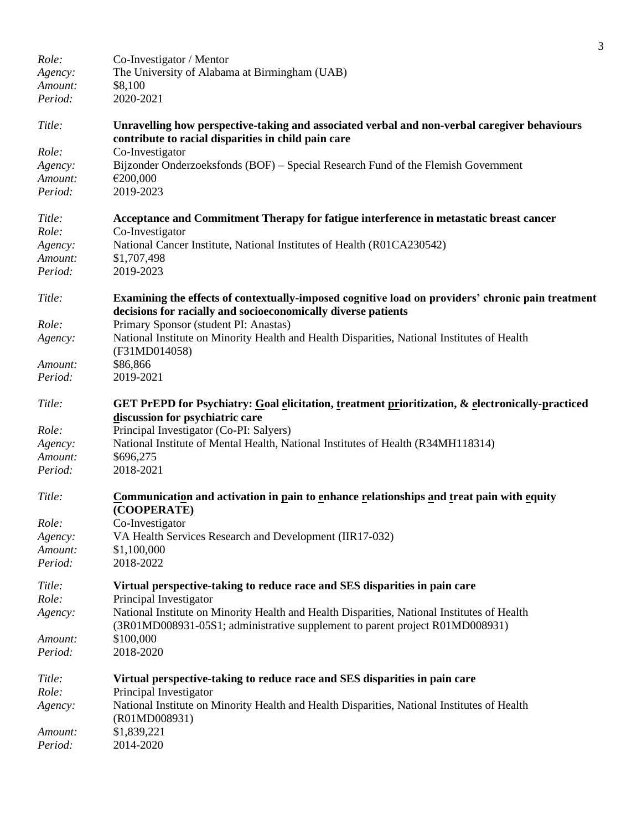|         |                                                                                                                                                                             | 3 |
|---------|-----------------------------------------------------------------------------------------------------------------------------------------------------------------------------|---|
| Role:   | Co-Investigator / Mentor                                                                                                                                                    |   |
| Agency: | The University of Alabama at Birmingham (UAB)                                                                                                                               |   |
| Amount: | \$8,100                                                                                                                                                                     |   |
| Period: | 2020-2021                                                                                                                                                                   |   |
| Title:  | Unravelling how perspective-taking and associated verbal and non-verbal caregiver behaviours<br>contribute to racial disparities in child pain care                         |   |
| Role:   | Co-Investigator                                                                                                                                                             |   |
| Agency: | Bijzonder Onderzoeksfonds (BOF) – Special Research Fund of the Flemish Government                                                                                           |   |
| Amount: | €200,000                                                                                                                                                                    |   |
| Period: | 2019-2023                                                                                                                                                                   |   |
| Title:  | Acceptance and Commitment Therapy for fatigue interference in metastatic breast cancer                                                                                      |   |
| Role:   | Co-Investigator                                                                                                                                                             |   |
| Agency: | National Cancer Institute, National Institutes of Health (R01CA230542)                                                                                                      |   |
| Amount: | \$1,707,498                                                                                                                                                                 |   |
| Period: | 2019-2023                                                                                                                                                                   |   |
| Title:  | Examining the effects of contextually-imposed cognitive load on providers' chronic pain treatment<br>decisions for racially and socioeconomically diverse patients          |   |
| Role:   | Primary Sponsor (student PI: Anastas)                                                                                                                                       |   |
| Agency: | National Institute on Minority Health and Health Disparities, National Institutes of Health                                                                                 |   |
|         | (F31MD014058)                                                                                                                                                               |   |
| Amount: | \$86,866                                                                                                                                                                    |   |
| Period: | 2019-2021                                                                                                                                                                   |   |
| Title:  | GET PrEPD for Psychiatry: Goal elicitation, treatment prioritization, & electronically-practiced<br>discussion for psychiatric care                                         |   |
| Role:   | Principal Investigator (Co-PI: Salyers)                                                                                                                                     |   |
| Agency: | National Institute of Mental Health, National Institutes of Health (R34MH118314)                                                                                            |   |
| Amount: | \$696,275                                                                                                                                                                   |   |
| Period: | 2018-2021                                                                                                                                                                   |   |
| Title:  | Communication and activation in pain to enhance relationships and treat pain with equity<br>(COOPERATE)                                                                     |   |
| Role:   | Co-Investigator                                                                                                                                                             |   |
| Agency: | VA Health Services Research and Development (IIR17-032)                                                                                                                     |   |
| Amount: | \$1,100,000                                                                                                                                                                 |   |
| Period: | 2018-2022                                                                                                                                                                   |   |
| Title:  | Virtual perspective-taking to reduce race and SES disparities in pain care                                                                                                  |   |
| Role:   | Principal Investigator                                                                                                                                                      |   |
| Agency: | National Institute on Minority Health and Health Disparities, National Institutes of Health<br>(3R01MD008931-05S1; administrative supplement to parent project R01MD008931) |   |
| Amount: | \$100,000                                                                                                                                                                   |   |
| Period: | 2018-2020                                                                                                                                                                   |   |
| Title:  | Virtual perspective-taking to reduce race and SES disparities in pain care                                                                                                  |   |
| Role:   | Principal Investigator                                                                                                                                                      |   |
| Agency: | National Institute on Minority Health and Health Disparities, National Institutes of Health<br>(R01MD008931)                                                                |   |
| Amount: | \$1,839,221                                                                                                                                                                 |   |
| Period: | 2014-2020                                                                                                                                                                   |   |
|         |                                                                                                                                                                             |   |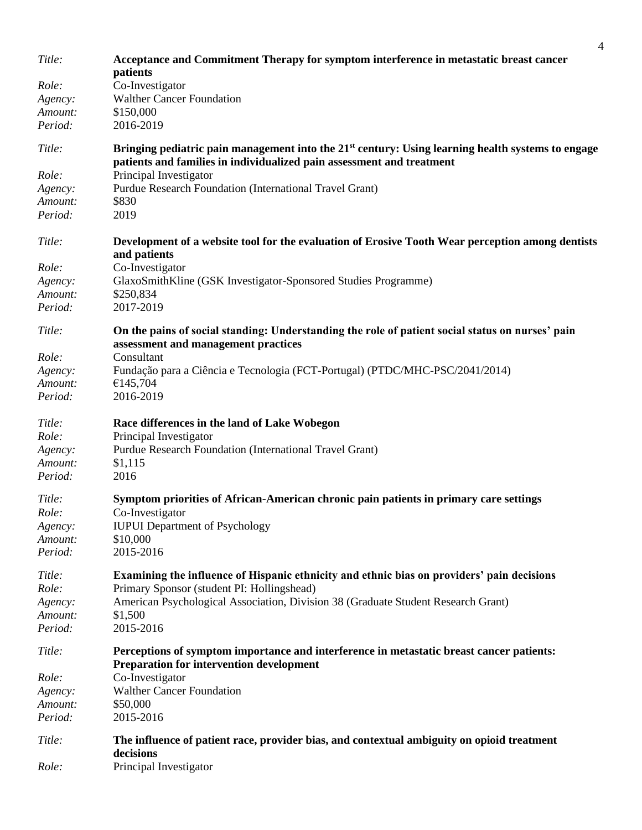| Title:  | Acceptance and Commitment Therapy for symptom interference in metastatic breast cancer<br>patients                                                                           |
|---------|------------------------------------------------------------------------------------------------------------------------------------------------------------------------------|
| Role:   | Co-Investigator                                                                                                                                                              |
| Agency: | <b>Walther Cancer Foundation</b>                                                                                                                                             |
| Amount: | \$150,000                                                                                                                                                                    |
| Period: | 2016-2019                                                                                                                                                                    |
| Title:  | Bringing pediatric pain management into the $21st$ century: Using learning health systems to engage<br>patients and families in individualized pain assessment and treatment |
| Role:   | Principal Investigator                                                                                                                                                       |
| Agency: | Purdue Research Foundation (International Travel Grant)                                                                                                                      |
| Amount: | \$830                                                                                                                                                                        |
| Period: | 2019                                                                                                                                                                         |
| Title:  | Development of a website tool for the evaluation of Erosive Tooth Wear perception among dentists<br>and patients                                                             |
| Role:   | Co-Investigator                                                                                                                                                              |
| Agency: | GlaxoSmithKline (GSK Investigator-Sponsored Studies Programme)                                                                                                               |
| Amount: | \$250,834                                                                                                                                                                    |
| Period: | 2017-2019                                                                                                                                                                    |
| Title:  | On the pains of social standing: Understanding the role of patient social status on nurses' pain<br>assessment and management practices                                      |
| Role:   | Consultant                                                                                                                                                                   |
| Agency: | Fundação para a Ciência e Tecnologia (FCT-Portugal) (PTDC/MHC-PSC/2041/2014)                                                                                                 |
| Amount: | €145,704                                                                                                                                                                     |
| Period: | 2016-2019                                                                                                                                                                    |
| Title:  | Race differences in the land of Lake Wobegon                                                                                                                                 |
| Role:   | Principal Investigator                                                                                                                                                       |
| Agency: | Purdue Research Foundation (International Travel Grant)                                                                                                                      |
| Amount: | \$1,115                                                                                                                                                                      |
| Period: | 2016                                                                                                                                                                         |
| Title:  | Symptom priorities of African-American chronic pain patients in primary care settings                                                                                        |
| Role:   | Co-Investigator                                                                                                                                                              |
| Agency: | <b>IUPUI</b> Department of Psychology                                                                                                                                        |
| Amount: | \$10,000                                                                                                                                                                     |
| Period: | 2015-2016                                                                                                                                                                    |
| Title:  | Examining the influence of Hispanic ethnicity and ethnic bias on providers' pain decisions                                                                                   |
| Role:   | Primary Sponsor (student PI: Hollingshead)                                                                                                                                   |
| Agency: | American Psychological Association, Division 38 (Graduate Student Research Grant)                                                                                            |
| Amount: | \$1,500                                                                                                                                                                      |
| Period: | 2015-2016                                                                                                                                                                    |
| Title:  | Perceptions of symptom importance and interference in metastatic breast cancer patients:<br><b>Preparation for intervention development</b>                                  |
| Role:   | Co-Investigator                                                                                                                                                              |
| Agency: | <b>Walther Cancer Foundation</b>                                                                                                                                             |
| Amount: | \$50,000                                                                                                                                                                     |
| Period: | 2015-2016                                                                                                                                                                    |
| Title:  | The influence of patient race, provider bias, and contextual ambiguity on opioid treatment<br>decisions                                                                      |
| Role:   | Principal Investigator                                                                                                                                                       |

4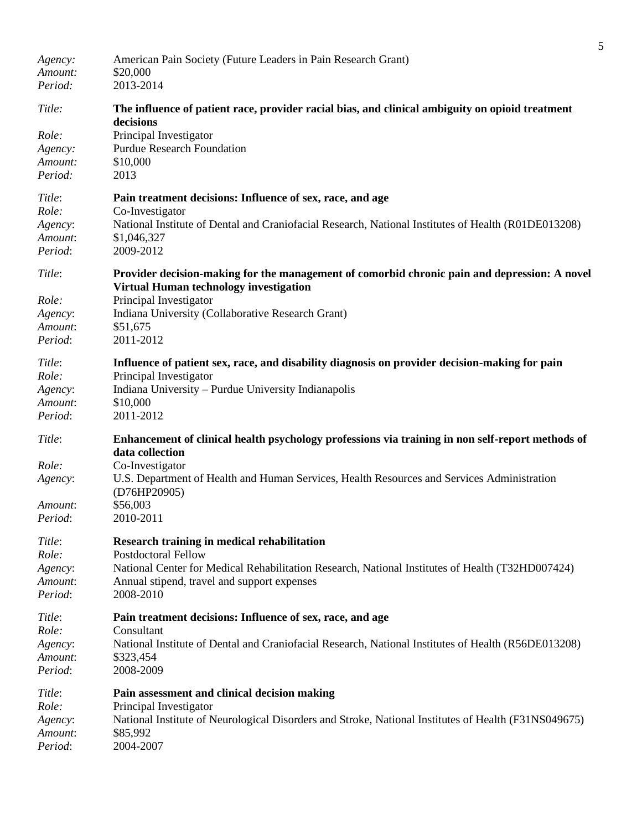| Agency:<br>Amount:<br>Period: | American Pain Society (Future Leaders in Pain Research Grant)<br>\$20,000<br>2013-2014                                                 |
|-------------------------------|----------------------------------------------------------------------------------------------------------------------------------------|
| Title:                        | The influence of patient race, provider racial bias, and clinical ambiguity on opioid treatment<br>decisions                           |
| Role:                         | Principal Investigator                                                                                                                 |
| Agency:                       | <b>Purdue Research Foundation</b>                                                                                                      |
| Amount:                       | \$10,000                                                                                                                               |
| Period:                       | 2013                                                                                                                                   |
| Title:                        | Pain treatment decisions: Influence of sex, race, and age                                                                              |
| Role:                         | Co-Investigator                                                                                                                        |
| Agency:                       | National Institute of Dental and Craniofacial Research, National Institutes of Health (R01DE013208)                                    |
| Amount:                       | \$1,046,327                                                                                                                            |
| Period:                       | 2009-2012                                                                                                                              |
| Title:                        | Provider decision-making for the management of comorbid chronic pain and depression: A novel<br>Virtual Human technology investigation |
| Role:                         | Principal Investigator                                                                                                                 |
| Agency:                       | Indiana University (Collaborative Research Grant)                                                                                      |
| Amount:                       | \$51,675                                                                                                                               |
| Period:                       | 2011-2012                                                                                                                              |
| Title:                        | Influence of patient sex, race, and disability diagnosis on provider decision-making for pain                                          |
| Role:                         | Principal Investigator                                                                                                                 |
| Agency:                       | Indiana University – Purdue University Indianapolis                                                                                    |
| Amount:<br>Period:            | \$10,000<br>2011-2012                                                                                                                  |
|                               |                                                                                                                                        |
| Title:                        | Enhancement of clinical health psychology professions via training in non self-report methods of<br>data collection                    |
| Role:                         | Co-Investigator                                                                                                                        |
| Agency:                       | U.S. Department of Health and Human Services, Health Resources and Services Administration<br>(D76HP20905)                             |
| Amount:<br>Period:            | \$56,003<br>2010-2011                                                                                                                  |
|                               |                                                                                                                                        |
| Title:                        | Research training in medical rehabilitation                                                                                            |
| Role:                         | <b>Postdoctoral Fellow</b>                                                                                                             |
| Agency:                       | National Center for Medical Rehabilitation Research, National Institutes of Health (T32HD007424)                                       |
| Amount:<br>Period:            | Annual stipend, travel and support expenses<br>2008-2010                                                                               |
|                               |                                                                                                                                        |
| Title:                        | Pain treatment decisions: Influence of sex, race, and age                                                                              |
| Role:                         | Consultant                                                                                                                             |
| Agency:                       | National Institute of Dental and Craniofacial Research, National Institutes of Health (R56DE013208)                                    |
| Amount:<br>Period:            | \$323,454<br>2008-2009                                                                                                                 |
|                               |                                                                                                                                        |
| Title:                        | Pain assessment and clinical decision making                                                                                           |
| Role:                         | Principal Investigator                                                                                                                 |
| Agency:                       | National Institute of Neurological Disorders and Stroke, National Institutes of Health (F31NS049675)                                   |
| Amount:<br>Period:            | \$85,992<br>2004-2007                                                                                                                  |
|                               |                                                                                                                                        |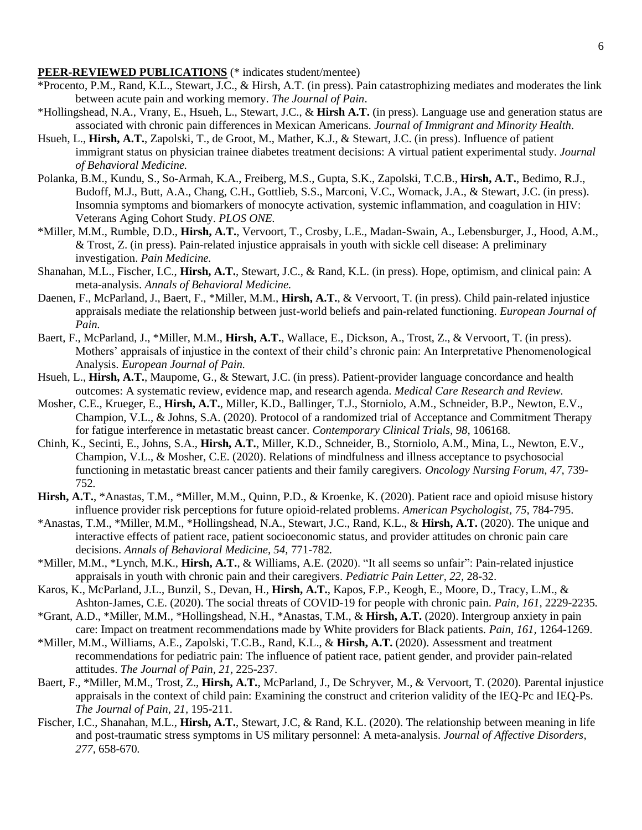#### **PEER-REVIEWED PUBLICATIONS** (\* indicates student/mentee)

- \*Procento, P.M., Rand, K.L., Stewart, J.C., & Hirsh, A.T. (in press). Pain catastrophizing mediates and moderates the link between acute pain and working memory. *The Journal of Pain*.
- \*Hollingshead, N.A., Vrany, E., Hsueh, L., Stewart, J.C., & **Hirsh A.T.** (in press). Language use and generation status are associated with chronic pain differences in Mexican Americans. *Journal of Immigrant and Minority Health*.
- Hsueh, L., **Hirsh, A.T.**, Zapolski, T., de Groot, M., Mather, K.J., & Stewart, J.C. (in press). Influence of patient immigrant status on physician trainee diabetes treatment decisions: A virtual patient experimental study. *Journal of Behavioral Medicine.*
- Polanka, B.M., Kundu, S., So-Armah, K.A., Freiberg, M.S., Gupta, S.K., Zapolski, T.C.B., **Hirsh, A.T.**, Bedimo, R.J., Budoff, M.J., Butt, A.A., Chang, C.H., Gottlieb, S.S., Marconi, V.C., Womack, J.A., & Stewart, J.C. (in press). Insomnia symptoms and biomarkers of monocyte activation, systemic inflammation, and coagulation in HIV: Veterans Aging Cohort Study. *PLOS ONE.*
- \*Miller, M.M., Rumble, D.D., **Hirsh, A.T.**, Vervoort, T., Crosby, L.E., Madan-Swain, A., Lebensburger, J., Hood, A.M., & Trost, Z. (in press). Pain-related injustice appraisals in youth with sickle cell disease: A preliminary investigation. *Pain Medicine.*
- Shanahan, M.L., Fischer, I.C., **Hirsh, A.T.**, Stewart, J.C., & Rand, K.L. (in press). Hope, optimism, and clinical pain: A meta-analysis. *Annals of Behavioral Medicine.*
- Daenen, F., McParland, J., Baert, F., \*Miller, M.M., **Hirsh, A.T.**, & Vervoort, T. (in press). Child pain-related injustice appraisals mediate the relationship between just-world beliefs and pain-related functioning. *European Journal of Pain.*
- Baert, F., McParland, J., \*Miller, M.M., **Hirsh, A.T.**, Wallace, E., Dickson, A., Trost, Z., & Vervoort, T. (in press). Mothers' appraisals of injustice in the context of their child's chronic pain: An Interpretative Phenomenological Analysis. *European Journal of Pain.*
- Hsueh, L., **Hirsh, A.T.**, Maupome, G., & Stewart, J.C. (in press). Patient-provider language concordance and health outcomes: A systematic review, evidence map, and research agenda. *Medical Care Research and Review.*
- Mosher, C.E., Krueger, E., **Hirsh, A.T.**, Miller, K.D., Ballinger, T.J., Storniolo, A.M., Schneider, B.P., Newton, E.V., Champion, V.L., & Johns, S.A. (2020). Protocol of a randomized trial of Acceptance and Commitment Therapy for fatigue interference in metastatic breast cancer. *Contemporary Clinical Trials, 98,* 106168*.*
- Chinh, K., Secinti, E., Johns, S.A., **Hirsh, A.T.**, Miller, K.D., Schneider, B., Storniolo, A.M., Mina, L., Newton, E.V., Champion, V.L., & Mosher, C.E. (2020). Relations of mindfulness and illness acceptance to psychosocial functioning in metastatic breast cancer patients and their family caregivers. *Oncology Nursing Forum, 47,* 739- 752*.*
- **Hirsh, A.T.**, \*Anastas, T.M., \*Miller, M.M., Quinn, P.D., & Kroenke, K. (2020). Patient race and opioid misuse history influence provider risk perceptions for future opioid-related problems. *American Psychologist, 75,* 784-795.
- \*Anastas, T.M., \*Miller, M.M., \*Hollingshead, N.A., Stewart, J.C., Rand, K.L., & **Hirsh, A.T.** (2020). The unique and interactive effects of patient race, patient socioeconomic status, and provider attitudes on chronic pain care decisions. *Annals of Behavioral Medicine, 54,* 771-782*.*
- \*Miller, M.M., \*Lynch, M.K., **Hirsh, A.T.**, & Williams, A.E. (2020). "It all seems so unfair": Pain-related injustice appraisals in youth with chronic pain and their caregivers. *Pediatric Pain Letter, 22,* 28-32.
- Karos, K., McParland, J.L., Bunzil, S., Devan, H., **Hirsh, A.T.**, Kapos, F.P., Keogh, E., Moore, D., Tracy, L.M., & Ashton-James, C.E. (2020). The social threats of COVID-19 for people with chronic pain. *Pain, 161,* 2229-2235*.*
- \*Grant, A.D., \*Miller, M.M., \*Hollingshead, N.H., \*Anastas, T.M., & **Hirsh, A.T.** (2020). Intergroup anxiety in pain care: Impact on treatment recommendations made by White providers for Black patients. *Pain, 161,* 1264-1269.
- \*Miller, M.M., Williams, A.E., Zapolski, T.C.B., Rand, K.L., & **Hirsh, A.T.** (2020). Assessment and treatment recommendations for pediatric pain: The influence of patient race, patient gender, and provider pain-related attitudes. *The Journal of Pain, 21,* 225-237.
- Baert, F., \*Miller, M.M., Trost, Z., **Hirsh, A.T.**, McParland, J., De Schryver, M., & Vervoort, T. (2020). Parental injustice appraisals in the context of child pain: Examining the construct and criterion validity of the IEQ-Pc and IEQ-Ps. *The Journal of Pain, 21,* 195-211.
- Fischer, I.C., Shanahan, M.L., **Hirsh, A.T.**, Stewart, J.C, & Rand, K.L. (2020). The relationship between meaning in life and post-traumatic stress symptoms in US military personnel: A meta-analysis. *Journal of Affective Disorders, 277,* 658-670*.*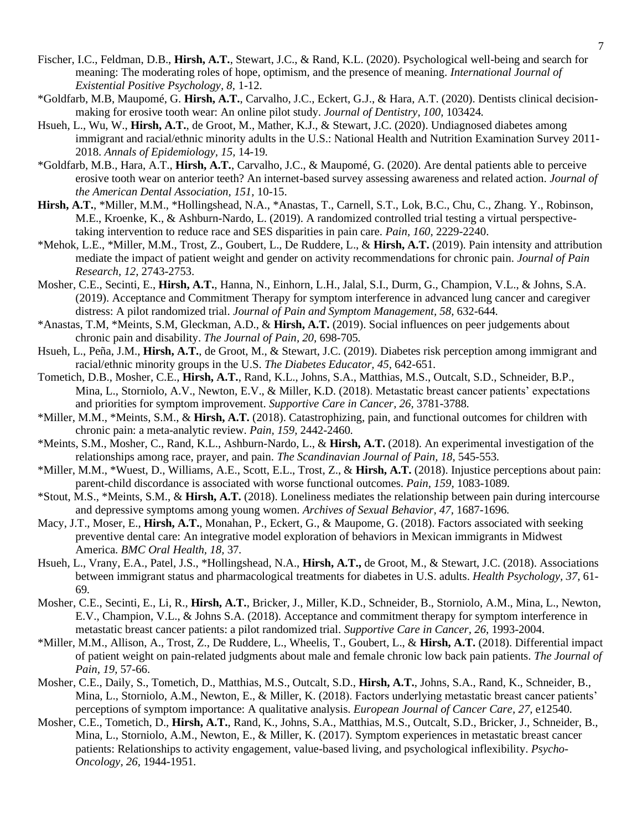- Fischer, I.C., Feldman, D.B., **Hirsh, A.T.**, Stewart, J.C., & Rand, K.L. (2020). Psychological well-being and search for meaning: The moderating roles of hope, optimism, and the presence of meaning. *International Journal of Existential Positive Psychology, 8,* 1-12.
- \*Goldfarb, M.B, Maupomé, G. **Hirsh, A.T.**, Carvalho, J.C., Eckert, G.J., & Hara, A.T. (2020). Dentists clinical decisionmaking for erosive tooth wear: An online pilot study. *Journal of Dentistry, 100,* 103424*.*
- Hsueh, L., Wu, W., **Hirsh, A.T.**, de Groot, M., Mather, K.J., & Stewart, J.C. (2020). Undiagnosed diabetes among immigrant and racial/ethnic minority adults in the U.S.: National Health and Nutrition Examination Survey 2011- 2018. *Annals of Epidemiology, 15,* 14-19*.*
- \*Goldfarb, M.B., Hara, A.T., **Hirsh, A.T.**, Carvalho, J.C., & Maupomé, G. (2020). Are dental patients able to perceive erosive tooth wear on anterior teeth? An internet-based survey assessing awareness and related action. *Journal of the American Dental Association, 151,* 10-15.
- **Hirsh, A.T.**, \*Miller, M.M., \*Hollingshead, N.A., \*Anastas, T., Carnell, S.T., Lok, B.C., Chu, C., Zhang. Y., Robinson, M.E., Kroenke, K., & Ashburn-Nardo, L. (2019). A randomized controlled trial testing a virtual perspectivetaking intervention to reduce race and SES disparities in pain care. *Pain, 160,* 2229-2240.
- \*Mehok, L.E., \*Miller, M.M., Trost, Z., Goubert, L., De Ruddere, L., & **Hirsh, A.T.** (2019). Pain intensity and attribution mediate the impact of patient weight and gender on activity recommendations for chronic pain. *Journal of Pain Research, 12,* 2743-2753.
- Mosher, C.E., Secinti, E., **Hirsh, A.T.**, Hanna, N., Einhorn, L.H., Jalal, S.I., Durm, G., Champion, V.L., & Johns, S.A. (2019). Acceptance and Commitment Therapy for symptom interference in advanced lung cancer and caregiver distress: A pilot randomized trial. *Journal of Pain and Symptom Management, 58,* 632-644*.*
- \*Anastas, T.M, \*Meints, S.M, Gleckman, A.D., & **Hirsh, A.T.** (2019). Social influences on peer judgements about chronic pain and disability. *The Journal of Pain, 20,* 698-705*.*
- Hsueh, L., Peña, J.M., **Hirsh, A.T.**, de Groot, M., & Stewart, J.C. (2019). Diabetes risk perception among immigrant and racial/ethnic minority groups in the U.S. *The Diabetes Educator, 45,* 642-651*.*
- Tometich, D.B., Mosher, C.E., **Hirsh, A.T.**, Rand, K.L., Johns, S.A., Matthias, M.S., Outcalt, S.D., Schneider, B.P., Mina, L., Storniolo, A.V., Newton, E.V., & Miller, K.D. (2018). Metastatic breast cancer patients' expectations and priorities for symptom improvement. *Supportive Care in Cancer, 26,* 3781-3788*.*
- \*Miller, M.M., \*Meints, S.M., & **Hirsh, A.T.** (2018). Catastrophizing, pain, and functional outcomes for children with chronic pain: a meta-analytic review. *Pain, 159,* 2442-2460*.*
- \*Meints, S.M., Mosher, C., Rand, K.L., Ashburn-Nardo, L., & **Hirsh, A.T.** (2018). An experimental investigation of the relationships among race, prayer, and pain. *The Scandinavian Journal of Pain, 18,* 545-553*.*
- \*Miller, M.M., \*Wuest, D., Williams, A.E., Scott, E.L., Trost, Z., & **Hirsh, A.T.** (2018). Injustice perceptions about pain: parent-child discordance is associated with worse functional outcomes. *Pain, 159,* 1083-1089*.*
- \*Stout, M.S., \*Meints, S.M., & **Hirsh, A.T.** (2018). Loneliness mediates the relationship between pain during intercourse and depressive symptoms among young women. *Archives of Sexual Behavior, 47,* 1687-1696*.*
- Macy, J.T., Moser, E., **Hirsh, A.T.**, Monahan, P., Eckert, G., & Maupome, G. (2018). Factors associated with seeking preventive dental care: An integrative model exploration of behaviors in Mexican immigrants in Midwest America. *BMC Oral Health, 18,* 37*.*
- Hsueh, L., Vrany, E.A., Patel, J.S., \*Hollingshead, N.A., **Hirsh, A.T.,** de Groot, M., & Stewart, J.C. (2018). Associations between immigrant status and pharmacological treatments for diabetes in U.S. adults. *Health Psychology, 37,* 61- 69*.*
- Mosher, C.E., Secinti, E., Li, R., **Hirsh, A.T.**, Bricker, J., Miller, K.D., Schneider, B., Storniolo, A.M., Mina, L., Newton, E.V., Champion, V.L., & Johns S.A. (2018). Acceptance and commitment therapy for symptom interference in metastatic breast cancer patients: a pilot randomized trial. *Supportive Care in Cancer, 26,* 1993-2004.
- \*Miller, M.M., Allison, A., Trost, Z., De Ruddere, L., Wheelis, T., Goubert, L., & **Hirsh, A.T.** (2018). Differential impact of patient weight on pain-related judgments about male and female chronic low back pain patients. *The Journal of Pain, 19,* 57-66.
- Mosher, C.E., Daily, S., Tometich, D., Matthias, M.S., Outcalt, S.D., **Hirsh, A.T.**, Johns, S.A., Rand, K., Schneider, B., Mina, L., Storniolo, A.M., Newton, E., & Miller, K. (2018). Factors underlying metastatic breast cancer patients' perceptions of symptom importance: A qualitative analysis. *European Journal of Cancer Care, 27,* e12540*.*
- Mosher, C.E., Tometich, D., **Hirsh, A.T.**, Rand, K., Johns, S.A., Matthias, M.S., Outcalt, S.D., Bricker, J., Schneider, B., Mina, L., Storniolo, A.M., Newton, E., & Miller, K. (2017). Symptom experiences in metastatic breast cancer patients: Relationships to activity engagement, value-based living, and psychological inflexibility. *Psycho-Oncology, 26,* 1944-1951*.*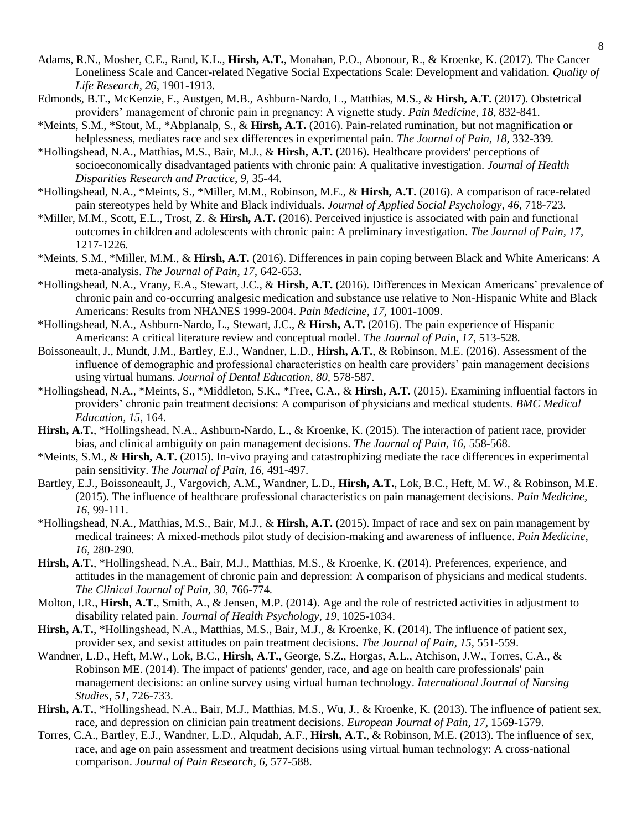- Adams, R.N., Mosher, C.E., Rand, K.L., **Hirsh, A.T.**, Monahan, P.O., Abonour, R., & Kroenke, K. (2017). The Cancer Loneliness Scale and Cancer-related Negative Social Expectations Scale: Development and validation. *Quality of Life Research, 26,* 1901-1913*.*
- Edmonds, B.T., McKenzie, F., Austgen, M.B., Ashburn-Nardo, L., Matthias, M.S., & **Hirsh, A.T.** (2017). Obstetrical providers' management of chronic pain in pregnancy: A vignette study. *Pain Medicine, 18,* 832-841*.*
- \*Meints, S.M., \*Stout, M., \*Abplanalp, S., & **Hirsh, A.T.** (2016). Pain-related rumination, but not magnification or helplessness, mediates race and sex differences in experimental pain. *The Journal of Pain, 18,* 332-339*.*
- \*Hollingshead, N.A., Matthias, M.S., Bair, M.J., & **Hirsh, A.T.** (2016). Healthcare providers' perceptions of socioeconomically disadvantaged patients with chronic pain: A qualitative investigation. *Journal of Health Disparities Research and Practice, 9,* 35-44.
- \*Hollingshead, N.A., \*Meints, S., \*Miller, M.M., Robinson, M.E., & **Hirsh, A.T.** (2016). A comparison of race-related pain stereotypes held by White and Black individuals. *Journal of Applied Social Psychology, 46,* 718-723*.*
- \*Miller, M.M., Scott, E.L., Trost, Z. & **Hirsh, A.T.** (2016). Perceived injustice is associated with pain and functional outcomes in children and adolescents with chronic pain: A preliminary investigation. *The Journal of Pain, 17,*  1217-1226*.*
- \*Meints, S.M., \*Miller, M.M., & **Hirsh, A.T.** (2016). Differences in pain coping between Black and White Americans: A meta-analysis. *The Journal of Pain, 17,* 642-653.
- \*Hollingshead, N.A., Vrany, E.A., Stewart, J.C., & **Hirsh, A.T.** (2016). Differences in Mexican Americans' prevalence of chronic pain and co-occurring analgesic medication and substance use relative to Non-Hispanic White and Black Americans: Results from NHANES 1999-2004. *Pain Medicine, 17,* 1001-1009.
- \*Hollingshead, N.A., Ashburn-Nardo, L., Stewart, J.C., & **Hirsh, A.T.** (2016). The pain experience of Hispanic Americans: A critical literature review and conceptual model. *The Journal of Pain, 17,* 513-528*.*
- Boissoneault, J., Mundt, J.M., Bartley, E.J., Wandner, L.D., **Hirsh, A.T.**, & Robinson, M.E. (2016). Assessment of the influence of demographic and professional characteristics on health care providers' pain management decisions using virtual humans. *Journal of Dental Education, 80,* 578-587*.*
- \*Hollingshead, N.A., \*Meints, S., \*Middleton, S.K., \*Free, C.A., & **Hirsh, A.T.** (2015). Examining influential factors in providers' chronic pain treatment decisions: A comparison of physicians and medical students. *BMC Medical Education, 15*, 164.
- **Hirsh, A.T.**, \*Hollingshead, N.A., Ashburn-Nardo, L., & Kroenke, K. (2015). The interaction of patient race, provider bias, and clinical ambiguity on pain management decisions. *The Journal of Pain, 16,* 558-568.
- \*Meints, S.M., & **Hirsh, A.T.** (2015). In-vivo praying and catastrophizing mediate the race differences in experimental pain sensitivity. *The Journal of Pain, 16,* 491-497.
- Bartley, E.J., Boissoneault, J., Vargovich, A.M., Wandner, L.D., **Hirsh, A.T.**, Lok, B.C., Heft, M. W., & Robinson, M.E. (2015). The influence of healthcare professional characteristics on pain management decisions. *Pain Medicine, 16,* 99-111.
- \*Hollingshead, N.A., Matthias, M.S., Bair, M.J., & **Hirsh, A.T.** (2015). Impact of race and sex on pain management by medical trainees: A mixed-methods pilot study of decision-making and awareness of influence. *Pain Medicine, 16,* 280-290.
- **Hirsh, A.T.**, \*Hollingshead, N.A., Bair, M.J., Matthias, M.S., & Kroenke, K. (2014). Preferences, experience, and attitudes in the management of chronic pain and depression: A comparison of physicians and medical students. *The Clinical Journal of Pain, 30,* 766-774*.*
- Molton, I.R., **Hirsh, A.T.**, Smith, A., & Jensen, M.P. (2014). Age and the role of restricted activities in adjustment to disability related pain. *Journal of Health Psychology, 19,* 1025-1034.
- **Hirsh, A.T.**, \*Hollingshead, N.A., Matthias, M.S., Bair, M.J., & Kroenke, K. (2014). The influence of patient sex, provider sex, and sexist attitudes on pain treatment decisions. *The Journal of Pain, 15,* 551-559.
- Wandner, L.D., Heft, M.W., Lok, B.C., **Hirsh, A.T.**, George, S.Z., Horgas, A.L., Atchison, J.W., Torres, C.A., & Robinson ME. (2014). The impact of patients' gender, race, and age on health care professionals' pain management decisions: an online survey using virtual human technology. *International Journal of Nursing Studies, 51,* 726-733.
- **Hirsh, A.T.**, \*Hollingshead, N.A., Bair, M.J., Matthias, M.S., Wu, J., & Kroenke, K. (2013). The influence of patient sex, race, and depression on clinician pain treatment decisions. *European Journal of Pain, 17,* 1569-1579.
- Torres, C.A., Bartley, E.J., Wandner, L.D., Alqudah, A.F., **Hirsh, A.T.**, & Robinson, M.E. (2013). The influence of sex, race, and age on pain assessment and treatment decisions using virtual human technology: A cross-national comparison. *Journal of Pain Research, 6*, 577-588.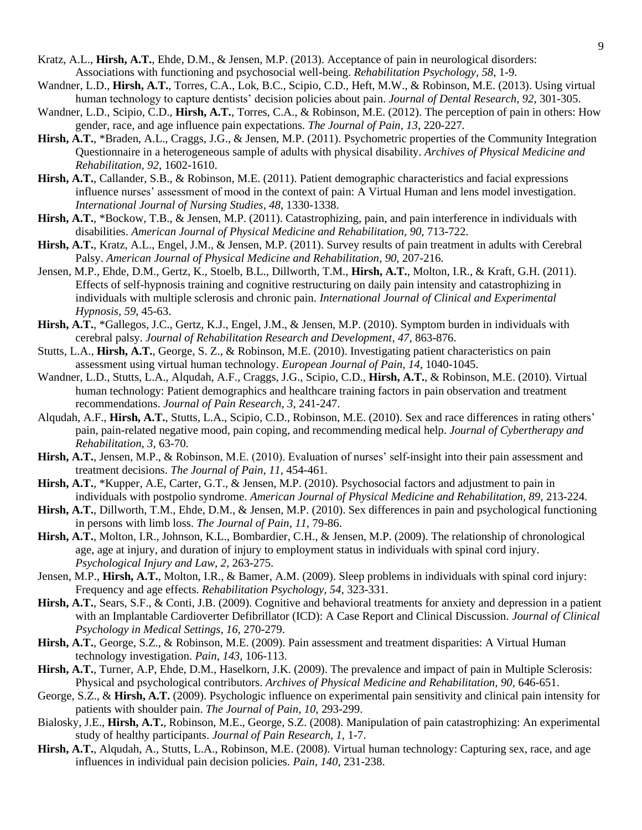- Kratz, A.L., **Hirsh, A.T.**, Ehde, D.M., & Jensen, M.P. (2013). Acceptance of pain in neurological disorders: Associations with functioning and psychosocial well-being. *Rehabilitation Psychology, 58*, 1-9*.*
- Wandner, L.D., **Hirsh, A.T.**, Torres, C.A., Lok, B.C., Scipio, C.D., Heft, M.W., & Robinson, M.E. (2013). Using virtual human technology to capture dentists' decision policies about pain. *Journal of Dental Research, 92*, 301-305.
- Wandner, L.D., Scipio, C.D., **Hirsh, A.T.**, Torres, C.A., & Robinson, M.E. (2012). The perception of pain in others: How gender, race, and age influence pain expectations. *The Journal of Pain, 13*, 220-227*.*
- **Hirsh, A.T.**, \*Braden, A.L., Craggs, J.G., & Jensen, M.P. (2011). Psychometric properties of the Community Integration Questionnaire in a heterogeneous sample of adults with physical disability. *Archives of Physical Medicine and Rehabilitation, 92*, 1602-1610.
- **Hirsh, A.T.**, Callander, S.B., & Robinson, M.E. (2011). Patient demographic characteristics and facial expressions influence nurses' assessment of mood in the context of pain: A Virtual Human and lens model investigation. *International Journal of Nursing Studies, 48*, 1330-1338.
- **Hirsh, A.T.**, \*Bockow, T.B., & Jensen, M.P. (2011). Catastrophizing, pain, and pain interference in individuals with disabilities. *American Journal of Physical Medicine and Rehabilitation, 90,* 713-722.
- **Hirsh, A.T.**, Kratz, A.L., Engel, J.M., & Jensen, M.P. (2011). Survey results of pain treatment in adults with Cerebral Palsy. *American Journal of Physical Medicine and Rehabilitation, 90, 207-216.*
- Jensen, M.P., Ehde, D.M., Gertz, K., Stoelb, B.L., Dillworth, T.M., **Hirsh, A.T.**, Molton, I.R., & Kraft, G.H. (2011). Effects of self-hypnosis training and cognitive restructuring on daily pain intensity and catastrophizing in individuals with multiple sclerosis and chronic pain. *International Journal of Clinical and Experimental Hypnosis, 59*, 45-63.
- **Hirsh, A.T.**, \*Gallegos, J.C., Gertz, K.J., Engel, J.M., & Jensen, M.P. (2010). Symptom burden in individuals with cerebral palsy. *Journal of Rehabilitation Research and Development, 47,* 863-876.
- Stutts, L.A., **Hirsh, A.T.**, George, S. Z., & Robinson, M.E. (2010). Investigating patient characteristics on pain assessment using virtual human technology. *European Journal of Pain, 14*, 1040-1045.
- Wandner, L.D., Stutts, L.A., Alqudah, A.F., Craggs, J.G., Scipio, C.D., **Hirsh, A.T.**, & Robinson, M.E. (2010). Virtual human technology: Patient demographics and healthcare training factors in pain observation and treatment recommendations. *Journal of Pain Research, 3*, 241-247.
- Alqudah, A.F., **Hirsh, A.T.**, Stutts, L.A., Scipio, C.D., Robinson, M.E. (2010). Sex and race differences in rating others' pain, pain-related negative mood, pain coping, and recommending medical help. *Journal of Cybertherapy and Rehabilitation, 3*, 63-70.
- **Hirsh, A.T.**, Jensen, M.P., & Robinson, M.E. (2010). Evaluation of nurses' self-insight into their pain assessment and treatment decisions. *The Journal of Pain, 11,* 454-461.
- **Hirsh, A.T.**, \*Kupper, A.E, Carter, G.T., & Jensen, M.P. (2010). Psychosocial factors and adjustment to pain in individuals with postpolio syndrome. *American Journal of Physical Medicine and Rehabilitation, 89, 213-224.*
- **Hirsh, A.T.**, Dillworth, T.M., Ehde, D.M., & Jensen, M.P. (2010). Sex differences in pain and psychological functioning in persons with limb loss. *The Journal of Pain, 11,* 79-86.
- **Hirsh, A.T.**, Molton, I.R., Johnson, K.L., Bombardier, C.H., & Jensen, M.P. (2009). The relationship of chronological age, age at injury, and duration of injury to employment status in individuals with spinal cord injury. *Psychological Injury and Law, 2,* 263-275.
- Jensen, M.P., **Hirsh, A.T.**, Molton, I.R., & Bamer, A.M. (2009). Sleep problems in individuals with spinal cord injury: Frequency and age effects. *Rehabilitation Psychology, 54,* 323-331.
- **Hirsh, A.T.**, Sears, S.F., & Conti, J.B. (2009). Cognitive and behavioral treatments for anxiety and depression in a patient with an Implantable Cardioverter Defibrillator (ICD): A Case Report and Clinical Discussion. *Journal of Clinical Psychology in Medical Settings, 16,* 270-279.
- **Hirsh, A.T.**, George, S.Z., & Robinson, M.E. (2009). Pain assessment and treatment disparities: A Virtual Human technology investigation. *Pain, 143,* 106-113.
- **Hirsh, A.T.**, Turner, A.P, Ehde, D.M., Haselkorn, J.K. (2009). The prevalence and impact of pain in Multiple Sclerosis: Physical and psychological contributors. *Archives of Physical Medicine and Rehabilitation, 90,* 646-651.
- George, S.Z., & **Hirsh, A.T.** (2009). Psychologic influence on experimental pain sensitivity and clinical pain intensity for patients with shoulder pain. *The Journal of Pain, 10,* 293-299.
- Bialosky, J.E., **Hirsh, A.T.**, Robinson, M.E., George, S.Z. (2008). Manipulation of pain catastrophizing: An experimental study of healthy participants. *Journal of Pain Research, 1,* 1-7.
- **Hirsh, A.T.**, Alqudah, A., Stutts, L.A., Robinson, M.E. (2008). Virtual human technology: Capturing sex, race, and age influences in individual pain decision policies. *Pain, 140,* 231-238.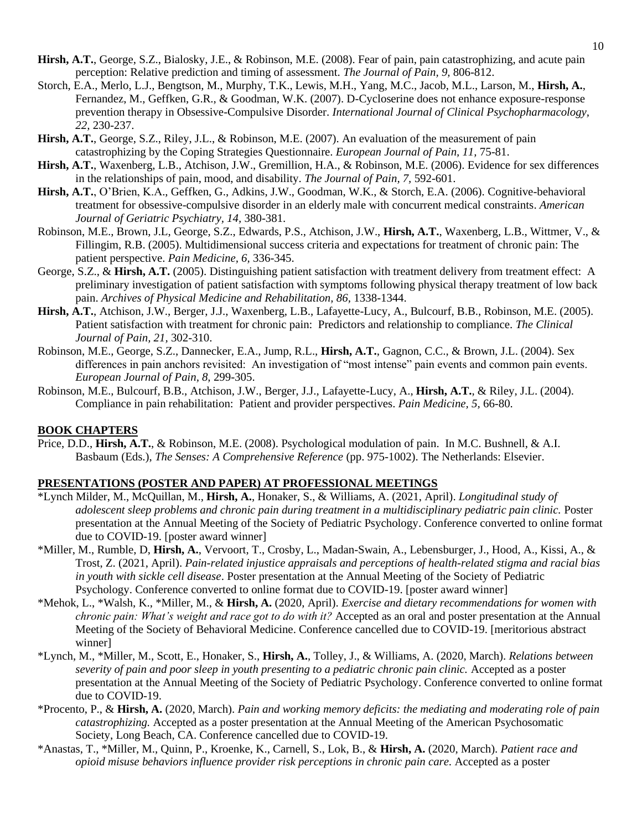- **Hirsh, A.T.**, George, S.Z., Bialosky, J.E., & Robinson, M.E. (2008). Fear of pain, pain catastrophizing, and acute pain perception: Relative prediction and timing of assessment. *The Journal of Pain, 9,* 806-812.
- Storch, E.A., Merlo, L.J., Bengtson, M., Murphy, T.K., Lewis, M.H., Yang, M.C., Jacob, M.L., Larson, M., **Hirsh, A.**, Fernandez, M., Geffken, G.R., & Goodman, W.K. (2007). D-Cycloserine does not enhance exposure-response prevention therapy in Obsessive-Compulsive Disorder. *International Journal of Clinical Psychopharmacology, 22,* 230-237.
- **Hirsh, A.T.**, George, S.Z., Riley, J.L., & Robinson, M.E. (2007). An evaluation of the measurement of pain catastrophizing by the Coping Strategies Questionnaire. *European Journal of Pain, 11,* 75-81.
- **Hirsh, A.T.**, Waxenberg, L.B., Atchison, J.W., Gremillion, H.A., & Robinson, M.E. (2006). Evidence for sex differences in the relationships of pain, mood, and disability. *The Journal of Pain, 7,* 592-601.
- **Hirsh, A.T.**, O'Brien, K.A., Geffken, G., Adkins, J.W., Goodman, W.K., & Storch, E.A. (2006). Cognitive-behavioral treatment for obsessive-compulsive disorder in an elderly male with concurrent medical constraints. *American Journal of Geriatric Psychiatry, 14,* 380-381.
- Robinson, M.E., Brown, J.L, George, S.Z., Edwards, P.S., Atchison, J.W., **Hirsh, A.T.**, Waxenberg, L.B., Wittmer, V., & Fillingim, R.B. (2005). Multidimensional success criteria and expectations for treatment of chronic pain: The patient perspective. *Pain Medicine, 6,* 336-345.
- George, S.Z., & **Hirsh, A.T.** (2005). Distinguishing patient satisfaction with treatment delivery from treatment effect: A preliminary investigation of patient satisfaction with symptoms following physical therapy treatment of low back pain. *Archives of Physical Medicine and Rehabilitation, 86,* 1338-1344.
- **Hirsh, A.T.**, Atchison, J.W., Berger, J.J., Waxenberg, L.B., Lafayette-Lucy, A., Bulcourf, B.B., Robinson, M.E. (2005). Patient satisfaction with treatment for chronic pain: Predictors and relationship to compliance. *The Clinical Journal of Pain, 21,* 302-310.
- Robinson, M.E., George, S.Z., Dannecker, E.A., Jump, R.L., **Hirsh, A.T.**, Gagnon, C.C., & Brown, J.L. (2004). Sex differences in pain anchors revisited: An investigation of "most intense" pain events and common pain events. *European Journal of Pain, 8,* 299-305.
- Robinson, M.E., Bulcourf, B.B., Atchison, J.W., Berger, J.J., Lafayette-Lucy, A., **Hirsh, A.T.**, & Riley, J.L. (2004). Compliance in pain rehabilitation: Patient and provider perspectives. *Pain Medicine, 5,* 66-80.

#### **BOOK CHAPTERS**

Price, D.D., **Hirsh, A.T.**, & Robinson, M.E. (2008). Psychological modulation of pain. In M.C. Bushnell, & A.I. Basbaum (Eds.), *The Senses: A Comprehensive Reference* (pp. 975-1002). The Netherlands: Elsevier.

## **PRESENTATIONS (POSTER AND PAPER) AT PROFESSIONAL MEETINGS**

- \*Lynch Milder, M., McQuillan, M., **Hirsh, A.**, Honaker, S., & Williams, A. (2021, April). *Longitudinal study of adolescent sleep problems and chronic pain during treatment in a multidisciplinary pediatric pain clinic.* Poster presentation at the Annual Meeting of the Society of Pediatric Psychology. Conference converted to online format due to COVID-19. [poster award winner]
- \*Miller, M., Rumble, D, **Hirsh, A.**, Vervoort, T., Crosby, L., Madan-Swain, A., Lebensburger, J., Hood, A., Kissi, A., & Trost, Z. (2021, April). *Pain-related injustice appraisals and perceptions of health-related stigma and racial bias in youth with sickle cell disease*. Poster presentation at the Annual Meeting of the Society of Pediatric Psychology. Conference converted to online format due to COVID-19. [poster award winner]
- \*Mehok, L., \*Walsh, K., \*Miller, M., & **Hirsh, A.** (2020, April). *Exercise and dietary recommendations for women with chronic pain: What's weight and race got to do with it?* Accepted as an oral and poster presentation at the Annual Meeting of the Society of Behavioral Medicine. Conference cancelled due to COVID-19. [meritorious abstract winner]
- \*Lynch, M., \*Miller, M., Scott, E., Honaker, S., **Hirsh, A.**, Tolley, J., & Williams, A. (2020, March). *Relations between severity of pain and poor sleep in youth presenting to a pediatric chronic pain clinic.* Accepted as a poster presentation at the Annual Meeting of the Society of Pediatric Psychology. Conference converted to online format due to COVID-19.
- \*Procento, P., & **Hirsh, A.** (2020, March). *Pain and working memory deficits: the mediating and moderating role of pain catastrophizing.* Accepted as a poster presentation at the Annual Meeting of the American Psychosomatic Society, Long Beach, CA. Conference cancelled due to COVID-19.
- \*Anastas, T., \*Miller, M., Quinn, P., Kroenke, K., Carnell, S., Lok, B., & **Hirsh, A.** (2020, March). *Patient race and opioid misuse behaviors influence provider risk perceptions in chronic pain care.* Accepted as a poster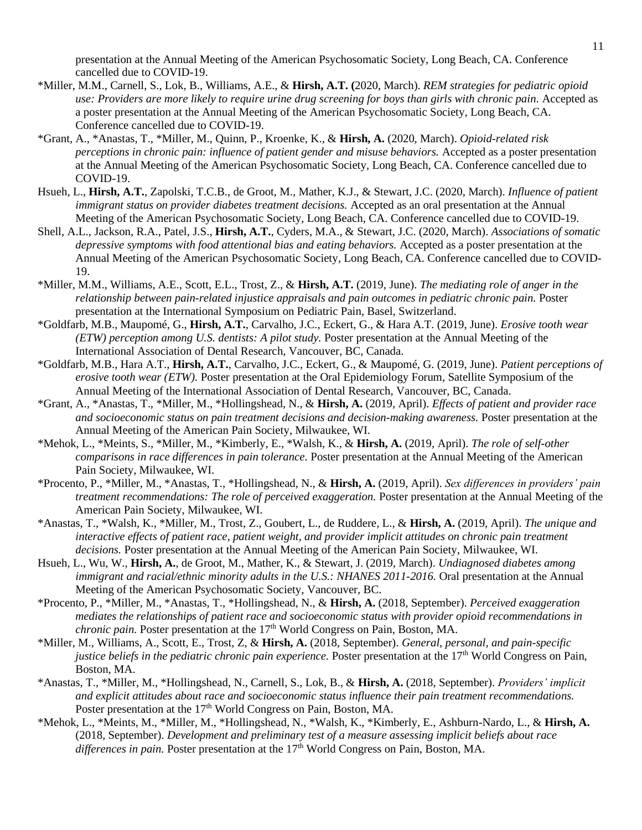presentation at the Annual Meeting of the American Psychosomatic Society, Long Beach, CA. Conference cancelled due to COVID-19.

- \*Miller, M.M., Carnell, S., Lok, B., Williams, A.E., & **Hirsh, A.T. (**2020, March). *REM strategies for pediatric opioid use: Providers are more likely to require urine drug screening for boys than girls with chronic pain.* Accepted as a poster presentation at the Annual Meeting of the American Psychosomatic Society, Long Beach, CA. Conference cancelled due to COVID-19.
- \*Grant, A., \*Anastas, T., \*Miller, M., Quinn, P., Kroenke, K., & **Hirsh, A.** (2020, March). *Opioid-related risk perceptions in chronic pain: influence of patient gender and misuse behaviors.* Accepted as a poster presentation at the Annual Meeting of the American Psychosomatic Society, Long Beach, CA. Conference cancelled due to COVID-19.
- Hsueh, L., **Hirsh, A.T.**, Zapolski, T.C.B., de Groot, M., Mather, K.J., & Stewart, J.C. (2020, March). *Influence of patient immigrant status on provider diabetes treatment decisions.* Accepted as an oral presentation at the Annual Meeting of the American Psychosomatic Society, Long Beach, CA. Conference cancelled due to COVID-19.
- Shell, A.L., Jackson, R.A., Patel, J.S., **Hirsh, A.T.**, Cyders, M.A., & Stewart, J.C. (2020, March). *Associations of somatic depressive symptoms with food attentional bias and eating behaviors.* Accepted as a poster presentation at the Annual Meeting of the American Psychosomatic Society, Long Beach, CA. Conference cancelled due to COVID-19.
- \*Miller, M.M., Williams, A.E., Scott, E.L., Trost, Z., & **Hirsh, A.T.** (2019, June). *The mediating role of anger in the relationship between pain-related injustice appraisals and pain outcomes in pediatric chronic pain.* Poster presentation at the International Symposium on Pediatric Pain, Basel, Switzerland.
- \*Goldfarb, M.B., Maupomé, G., **Hirsh, A.T.**, Carvalho, J.C., Eckert, G., & Hara A.T. (2019, June). *Erosive tooth wear (ETW) perception among U.S. dentists: A pilot study.* Poster presentation at the Annual Meeting of the International Association of Dental Research, Vancouver, BC, Canada.
- \*Goldfarb, M.B., Hara A.T., **Hirsh, A.T.**, Carvalho, J.C., Eckert, G., & Maupomé, G. (2019, June). *Patient perceptions of erosive tooth wear (ETW).* Poster presentation at the Oral Epidemiology Forum, Satellite Symposium of the Annual Meeting of the International Association of Dental Research, Vancouver, BC, Canada.
- \*Grant, A., \*Anastas, T., \*Miller, M., \*Hollingshead, N., & **Hirsh, A.** (2019, April). *Effects of patient and provider race and socioeconomic status on pain treatment decisions and decision-making awareness.* Poster presentation at the Annual Meeting of the American Pain Society, Milwaukee, WI.
- \*Mehok, L., \*Meints, S., \*Miller, M., \*Kimberly, E., \*Walsh, K., & **Hirsh, A.** (2019, April). *The role of self-other comparisons in race differences in pain tolerance.* Poster presentation at the Annual Meeting of the American Pain Society, Milwaukee, WI.
- \*Procento, P., \*Miller, M., \*Anastas, T., \*Hollingshead, N., & **Hirsh, A.** (2019, April). *Sex differences in providers' pain treatment recommendations: The role of perceived exaggeration.* Poster presentation at the Annual Meeting of the American Pain Society, Milwaukee, WI.
- \*Anastas, T., \*Walsh, K., \*Miller, M., Trost, Z., Goubert, L., de Ruddere, L., & **Hirsh, A.** (2019, April). *The unique and interactive effects of patient race, patient weight, and provider implicit attitudes on chronic pain treatment decisions.* Poster presentation at the Annual Meeting of the American Pain Society, Milwaukee, WI.
- Hsueh, L., Wu, W., **Hirsh, A.**, de Groot, M., Mather, K., & Stewart, J. (2019, March). *Undiagnosed diabetes among immigrant and racial/ethnic minority adults in the U.S.: NHANES 2011-2016.* Oral presentation at the Annual Meeting of the American Psychosomatic Society, Vancouver, BC.
- \*Procento, P., \*Miller, M., \*Anastas, T., \*Hollingshead, N., & **Hirsh, A.** (2018, September). *Perceived exaggeration mediates the relationships of patient race and socioeconomic status with provider opioid recommendations in chronic pain.* Poster presentation at the 17<sup>th</sup> World Congress on Pain, Boston, MA.
- \*Miller, M., Williams, A., Scott, E., Trost, Z, & **Hirsh, A.** (2018, September). *General, personal, and pain-specific justice beliefs in the pediatric chronic pain experience.* Poster presentation at the 17<sup>th</sup> World Congress on Pain, Boston, MA.
- \*Anastas, T., \*Miller, M., \*Hollingshead, N., Carnell, S., Lok, B., & **Hirsh, A.** (2018, September). *Providers' implicit and explicit attitudes about race and socioeconomic status influence their pain treatment recommendations.* Poster presentation at the 17<sup>th</sup> World Congress on Pain, Boston, MA.
- \*Mehok, L., \*Meints, M., \*Miller, M., \*Hollingshead, N., \*Walsh, K., \*Kimberly, E., Ashburn-Nardo, L., & **Hirsh, A.** (2018, September). *Development and preliminary test of a measure assessing implicit beliefs about race*  differences in pain. Poster presentation at the 17<sup>th</sup> World Congress on Pain, Boston, MA.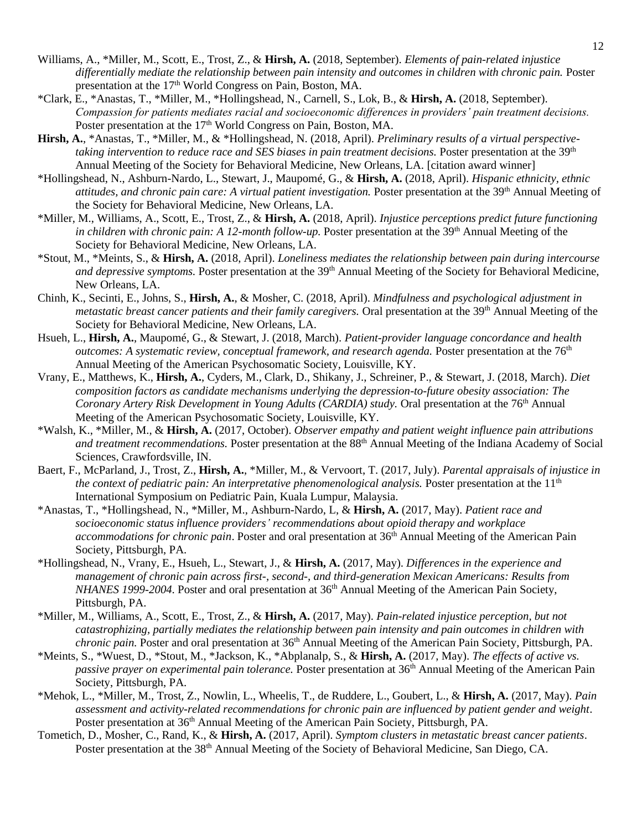- Williams, A., \*Miller, M., Scott, E., Trost, Z., & **Hirsh, A.** (2018, September). *Elements of pain-related injustice differentially mediate the relationship between pain intensity and outcomes in children with chronic pain.* Poster presentation at the 17<sup>th</sup> World Congress on Pain, Boston, MA.
- \*Clark, E., \*Anastas, T., \*Miller, M., \*Hollingshead, N., Carnell, S., Lok, B., & **Hirsh, A.** (2018, September). *Compassion for patients mediates racial and socioeconomic differences in providers' pain treatment decisions.*  Poster presentation at the 17<sup>th</sup> World Congress on Pain, Boston, MA.
- **Hirsh, A.**, \*Anastas, T., \*Miller, M., & \*Hollingshead, N. (2018, April). *Preliminary results of a virtual perspectivetaking intervention to reduce race and SES biases in pain treatment decisions.* Poster presentation at the 39<sup>th</sup> Annual Meeting of the Society for Behavioral Medicine, New Orleans, LA. [citation award winner]
- \*Hollingshead, N., Ashburn-Nardo, L., Stewart, J., Maupomé, G., & **Hirsh, A.** (2018, April). *Hispanic ethnicity, ethnic attitudes, and chronic pain care: A virtual patient investigation.* Poster presentation at the 39<sup>th</sup> Annual Meeting of the Society for Behavioral Medicine, New Orleans, LA.
- \*Miller, M., Williams, A., Scott, E., Trost, Z., & **Hirsh, A.** (2018, April). *Injustice perceptions predict future functioning in children with chronic pain: A 12-month follow-up.* Poster presentation at the 39<sup>th</sup> Annual Meeting of the Society for Behavioral Medicine, New Orleans, LA.
- \*Stout, M., \*Meints, S., & **Hirsh, A.** (2018, April). *Loneliness mediates the relationship between pain during intercourse*  and depressive symptoms. Poster presentation at the 39<sup>th</sup> Annual Meeting of the Society for Behavioral Medicine, New Orleans, LA.
- Chinh, K., Secinti, E., Johns, S., **Hirsh, A.**, & Mosher, C. (2018, April). *Mindfulness and psychological adjustment in metastatic breast cancer patients and their family caregivers.* Oral presentation at the 39<sup>th</sup> Annual Meeting of the Society for Behavioral Medicine, New Orleans, LA.
- Hsueh, L., **Hirsh, A.**, Maupomé, G., & Stewart, J. (2018, March). *Patient-provider language concordance and health outcomes: A systematic review, conceptual framework, and research agenda.* Poster presentation at the 76<sup>th</sup> Annual Meeting of the American Psychosomatic Society, Louisville, KY.
- Vrany, E., Matthews, K., **Hirsh, A.**, Cyders, M., Clark, D., Shikany, J., Schreiner, P., & Stewart, J. (2018, March). *Diet composition factors as candidate mechanisms underlying the depression-to-future obesity association: The Coronary Artery Risk Development in Young Adults (CARDIA) study.* Oral presentation at the 76<sup>th</sup> Annual Meeting of the American Psychosomatic Society, Louisville, KY.
- \*Walsh, K., \*Miller, M., & **Hirsh, A.** (2017, October). *Observer empathy and patient weight influence pain attributions and treatment recommendations.* Poster presentation at the 88th Annual Meeting of the Indiana Academy of Social Sciences, Crawfordsville, IN.
- Baert, F., McParland, J., Trost, Z., **Hirsh, A.**, \*Miller, M., & Vervoort, T. (2017, July). *Parental appraisals of injustice in the context of pediatric pain: An interpretative phenomenological analysis.* Poster presentation at the 11<sup>th</sup> International Symposium on Pediatric Pain, Kuala Lumpur, Malaysia.
- \*Anastas, T., \*Hollingshead, N., \*Miller, M., Ashburn-Nardo, L, & **Hirsh, A.** (2017, May). *Patient race and socioeconomic status influence providers' recommendations about opioid therapy and workplace accommodations for chronic pain*. Poster and oral presentation at 36<sup>th</sup> Annual Meeting of the American Pain Society, Pittsburgh, PA.
- \*Hollingshead, N., Vrany, E., Hsueh, L., Stewart, J., & **Hirsh, A.** (2017, May). *Differences in the experience and management of chronic pain across first-, second-, and third-generation Mexican Americans: Results from NHANES 1999-2004*. Poster and oral presentation at 36<sup>th</sup> Annual Meeting of the American Pain Society, Pittsburgh, PA.
- \*Miller, M., Williams, A., Scott, E., Trost, Z., & **Hirsh, A.** (2017, May). *Pain-related injustice perception, but not catastrophizing, partially mediates the relationship between pain intensity and pain outcomes in children with chronic pain.* Poster and oral presentation at 36<sup>th</sup> Annual Meeting of the American Pain Society, Pittsburgh, PA.
- \*Meints, S., \*Wuest, D., \*Stout, M., \*Jackson, K., \*Abplanalp, S., & **Hirsh, A.** (2017, May). *The effects of active vs. passive prayer on experimental pain tolerance*. Poster presentation at 36<sup>th</sup> Annual Meeting of the American Pain Society, Pittsburgh, PA.
- \*Mehok, L., \*Miller, M., Trost, Z., Nowlin, L., Wheelis, T., de Ruddere, L., Goubert, L., & **Hirsh, A.** (2017, May). *Pain assessment and activity-related recommendations for chronic pain are influenced by patient gender and weight*. Poster presentation at 36<sup>th</sup> Annual Meeting of the American Pain Society, Pittsburgh, PA.
- Tometich, D., Mosher, C., Rand, K., & **Hirsh, A.** (2017, April). *Symptom clusters in metastatic breast cancer patients*. Poster presentation at the 38<sup>th</sup> Annual Meeting of the Society of Behavioral Medicine, San Diego, CA.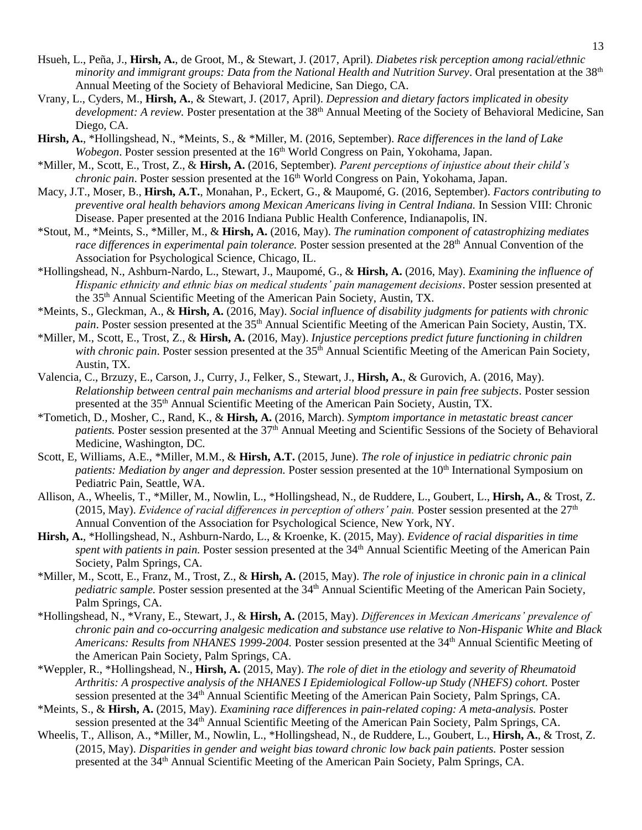- Hsueh, L., Peña, J., **Hirsh, A.**, de Groot, M., & Stewart, J. (2017, April). *Diabetes risk perception among racial/ethnic minority and immigrant groups: Data from the National Health and Nutrition Survey*. Oral presentation at the 38th Annual Meeting of the Society of Behavioral Medicine, San Diego, CA.
- Vrany, L., Cyders, M., **Hirsh, A.**, & Stewart, J. (2017, April). *Depression and dietary factors implicated in obesity development: A review.* Poster presentation at the 38<sup>th</sup> Annual Meeting of the Society of Behavioral Medicine, San Diego, CA.
- **Hirsh, A.**, \*Hollingshead, N., \*Meints, S., & \*Miller, M. (2016, September). *Race differences in the land of Lake Wobegon*. Poster session presented at the 16<sup>th</sup> World Congress on Pain, Yokohama, Japan.
- \*Miller, M., Scott, E., Trost, Z., & **Hirsh, A.** (2016, September). *Parent perceptions of injustice about their child's chronic pain*. Poster session presented at the 16<sup>th</sup> World Congress on Pain, Yokohama, Japan.
- Macy, J.T., Moser, B., **Hirsh, A.T.**, Monahan, P., Eckert, G., & Maupomé, G. (2016, September). *Factors contributing to preventive oral health behaviors among Mexican Americans living in Central Indiana.* In Session VIII: Chronic Disease. Paper presented at the 2016 Indiana Public Health Conference, Indianapolis, IN.
- \*Stout, M., \*Meints, S., \*Miller, M., & **Hirsh, A.** (2016, May). *The rumination component of catastrophizing mediates race differences in experimental pain tolerance.* Poster session presented at the 28<sup>th</sup> Annual Convention of the Association for Psychological Science, Chicago, IL.
- \*Hollingshead, N., Ashburn-Nardo, L., Stewart, J., Maupomé, G., & **Hirsh, A.** (2016, May). *Examining the influence of Hispanic ethnicity and ethnic bias on medical students' pain management decisions*. Poster session presented at the 35 th Annual Scientific Meeting of the American Pain Society, Austin, TX.
- \*Meints, S., Gleckman, A., & **Hirsh, A.** (2016, May). *Social influence of disability judgments for patients with chronic*  pain. Poster session presented at the 35<sup>th</sup> Annual Scientific Meeting of the American Pain Society, Austin, TX.
- \*Miller, M., Scott, E., Trost, Z., & **Hirsh, A.** (2016, May). *Injustice perceptions predict future functioning in children*  with chronic pain. Poster session presented at the 35<sup>th</sup> Annual Scientific Meeting of the American Pain Society, Austin, TX.
- Valencia, C., Brzuzy, E., Carson, J., Curry, J., Felker, S., Stewart, J., **Hirsh, A.**, & Gurovich, A. (2016, May). *Relationship between central pain mechanisms and arterial blood pressure in pain free subjects*. Poster session presented at the 35<sup>th</sup> Annual Scientific Meeting of the American Pain Society, Austin, TX.
- \*Tometich, D., Mosher, C., Rand, K., & **Hirsh, A.** (2016, March). *Symptom importance in metastatic breast cancer*  patients. Poster session presented at the 37<sup>th</sup> Annual Meeting and Scientific Sessions of the Society of Behavioral Medicine, Washington, DC.
- Scott, E, Williams, A.E., \*Miller, M.M., & **Hirsh, A.T.** (2015, June). *The role of injustice in pediatric chronic pain patients: Mediation by anger and depression.* Poster session presented at the 10<sup>th</sup> International Symposium on Pediatric Pain, Seattle, WA.
- Allison, A., Wheelis, T., \*Miller, M., Nowlin, L., \*Hollingshead, N., de Ruddere, L., Goubert, L., **Hirsh, A.**, & Trost, Z. (2015, May). *Evidence of racial differences in perception of others' pain.* Poster session presented at the  $27<sup>th</sup>$ Annual Convention of the Association for Psychological Science, New York, NY.
- **Hirsh, A.**, \*Hollingshead, N., Ashburn-Nardo, L., & Kroenke, K. (2015, May). *Evidence of racial disparities in time*  spent with patients in pain. Poster session presented at the 34<sup>th</sup> Annual Scientific Meeting of the American Pain Society, Palm Springs, CA.
- \*Miller, M., Scott, E., Franz, M., Trost, Z., & **Hirsh, A.** (2015, May). *The role of injustice in chronic pain in a clinical*  pediatric sample. Poster session presented at the 34<sup>th</sup> Annual Scientific Meeting of the American Pain Society, Palm Springs, CA.
- \*Hollingshead, N., \*Vrany, E., Stewart, J., & **Hirsh, A.** (2015, May). *Differences in Mexican Americans' prevalence of chronic pain and co-occurring analgesic medication and substance use relative to Non-Hispanic White and Black*  Americans: Results from NHANES 1999-2004. Poster session presented at the 34<sup>th</sup> Annual Scientific Meeting of the American Pain Society, Palm Springs, CA.
- \*Weppler, R., \*Hollingshead, N., **Hirsh, A.** (2015, May). *The role of diet in the etiology and severity of Rheumatoid Arthritis: A prospective analysis of the NHANES I Epidemiological Follow-up Study (NHEFS) cohort.* Poster session presented at the 34<sup>th</sup> Annual Scientific Meeting of the American Pain Society, Palm Springs, CA.
- \*Meints, S., & **Hirsh, A.** (2015, May). *Examining race differences in pain-related coping: A meta-analysis.* Poster session presented at the 34<sup>th</sup> Annual Scientific Meeting of the American Pain Society, Palm Springs, CA.
- Wheelis, T., Allison, A., \*Miller, M., Nowlin, L., \*Hollingshead, N., de Ruddere, L., Goubert, L., **Hirsh, A.**, & Trost, Z. (2015, May). *Disparities in gender and weight bias toward chronic low back pain patients.* Poster session presented at the 34<sup>th</sup> Annual Scientific Meeting of the American Pain Society, Palm Springs, CA.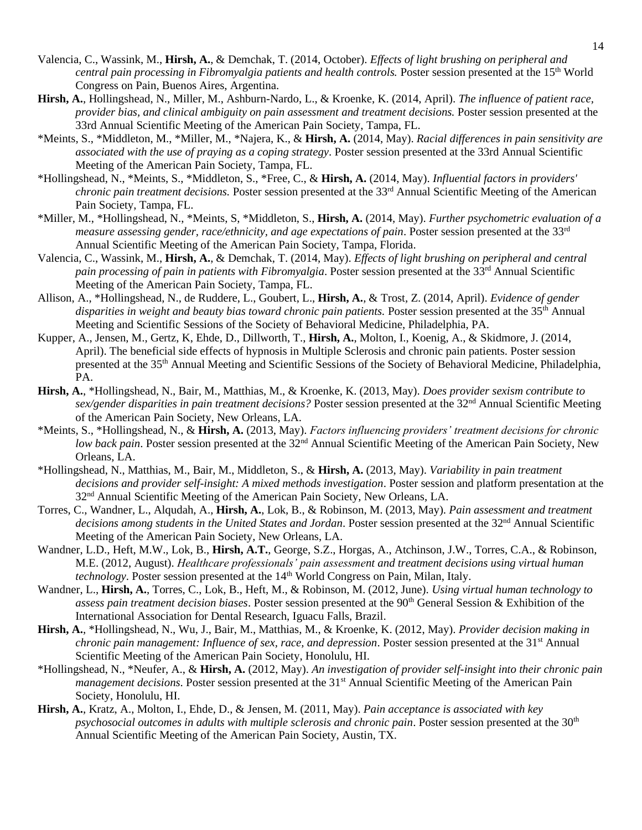- Valencia, C., Wassink, M., **Hirsh, A.**, & Demchak, T. (2014, October). *Effects of light brushing on peripheral and*  central pain processing in Fibromyalgia patients and health controls. Poster session presented at the 15<sup>th</sup> World Congress on Pain, Buenos Aires, Argentina.
- **Hirsh, A.**, Hollingshead, N., Miller, M., Ashburn-Nardo, L., & Kroenke, K. (2014, April). *The influence of patient race, provider bias, and clinical ambiguity on pain assessment and treatment decisions.* Poster session presented at the 33rd Annual Scientific Meeting of the American Pain Society, Tampa, FL.
- \*Meints, S., \*Middleton, M., \*Miller, M., \*Najera, K., & **Hirsh, A.** (2014, May). *Racial differences in pain sensitivity are associated with the use of praying as a coping strategy*. Poster session presented at the 33rd Annual Scientific Meeting of the American Pain Society, Tampa, FL.
- \*Hollingshead, N., \*Meints, S., \*Middleton, S., \*Free, C., & **Hirsh, A.** (2014, May). *Influential factors in providers' chronic pain treatment decisions.* Poster session presented at the 33<sup>rd</sup> Annual Scientific Meeting of the American Pain Society, Tampa, FL.
- \*Miller, M., \*Hollingshead, N., \*Meints, S, \*Middleton, S., **Hirsh, A.** (2014, May). *Further psychometric evaluation of a measure assessing gender, race/ethnicity, and age expectations of pain*. Poster session presented at the 33rd Annual Scientific Meeting of the American Pain Society, Tampa, Florida.
- Valencia, C., Wassink, M., **Hirsh, A.**, & Demchak, T. (2014, May). *Effects of light brushing on peripheral and central*  pain processing of pain in patients with Fibromyalgia. Poster session presented at the 33<sup>rd</sup> Annual Scientific Meeting of the American Pain Society, Tampa, FL.
- Allison, A., \*Hollingshead, N., de Ruddere, L., Goubert, L., **Hirsh, A.**, & Trost*,* Z. (2014, April). *Evidence of gender disparities in weight and beauty bias toward chronic pain patients.* Poster session presented at the 35th Annual Meeting and Scientific Sessions of the Society of Behavioral Medicine, Philadelphia, PA.
- Kupper, A., Jensen, M., Gertz, K, Ehde, D., Dillworth, T., **Hirsh, A.**, Molton, I., Koenig, A., & Skidmore, J. (2014, April). The beneficial side effects of hypnosis in Multiple Sclerosis and chronic pain patients. Poster session presented at the 35th Annual Meeting and Scientific Sessions of the Society of Behavioral Medicine, Philadelphia, PA.
- **Hirsh, A.**, \*Hollingshead, N., Bair, M., Matthias, M., & Kroenke, K. (2013, May). *Does provider sexism contribute to sex/gender disparities in pain treatment decisions?* Poster session presented at the 32nd Annual Scientific Meeting of the American Pain Society, New Orleans, LA.
- \*Meints, S., \*Hollingshead, N., & **Hirsh, A.** (2013, May). *Factors influencing providers' treatment decisions for chronic low back pain*. Poster session presented at the 32<sup>nd</sup> Annual Scientific Meeting of the American Pain Society, New Orleans, LA.
- \*Hollingshead, N., Matthias, M., Bair, M., Middleton, S., & **Hirsh, A.** (2013, May). *Variability in pain treatment decisions and provider self-insight: A mixed methods investigation*. Poster session and platform presentation at the 32nd Annual Scientific Meeting of the American Pain Society, New Orleans, LA.
- Torres, C., Wandner, L., Alqudah, A., **Hirsh, A.**, Lok, B., & Robinson, M. (2013, May). *Pain assessment and treatment decisions among students in the United States and Jordan*. Poster session presented at the 32nd Annual Scientific Meeting of the American Pain Society, New Orleans, LA.
- Wandner, L.D., Heft, M.W., Lok, B., **Hirsh, A.T.**, George, S.Z., Horgas, A., Atchinson, J.W., Torres, C.A., & Robinson, M.E. (2012, August). *Healthcare professionals' pain assessment and treatment decisions using virtual human technology*. Poster session presented at the 14<sup>th</sup> World Congress on Pain, Milan, Italy.
- Wandner, L., **Hirsh, A.**, Torres, C., Lok, B., Heft, M., & Robinson, M. (2012, June). *Using virtual human technology to assess pain treatment decision biases*. Poster session presented at the 90th General Session & Exhibition of the International Association for Dental Research, Iguacu Falls, Brazil.
- **Hirsh, A.**, \*Hollingshead, N., Wu, J., Bair, M., Matthias, M., & Kroenke, K. (2012, May). *Provider decision making in chronic pain management: Influence of sex, race, and depression.* Poster session presented at the 31<sup>st</sup> Annual Scientific Meeting of the American Pain Society, Honolulu, HI.
- \*Hollingshead, N., \*Neufer, A., & **Hirsh, A.** (2012, May). *An investigation of provider self-insight into their chronic pain management decisions*. Poster session presented at the 31<sup>st</sup> Annual Scientific Meeting of the American Pain Society, Honolulu, HI.
- **Hirsh, A.**, Kratz, A., Molton, I., Ehde, D., & Jensen, M. (2011, May). *Pain acceptance is associated with key*  psychosocial outcomes in adults with multiple sclerosis and chronic pain. Poster session presented at the 30<sup>th</sup> Annual Scientific Meeting of the American Pain Society, Austin, TX.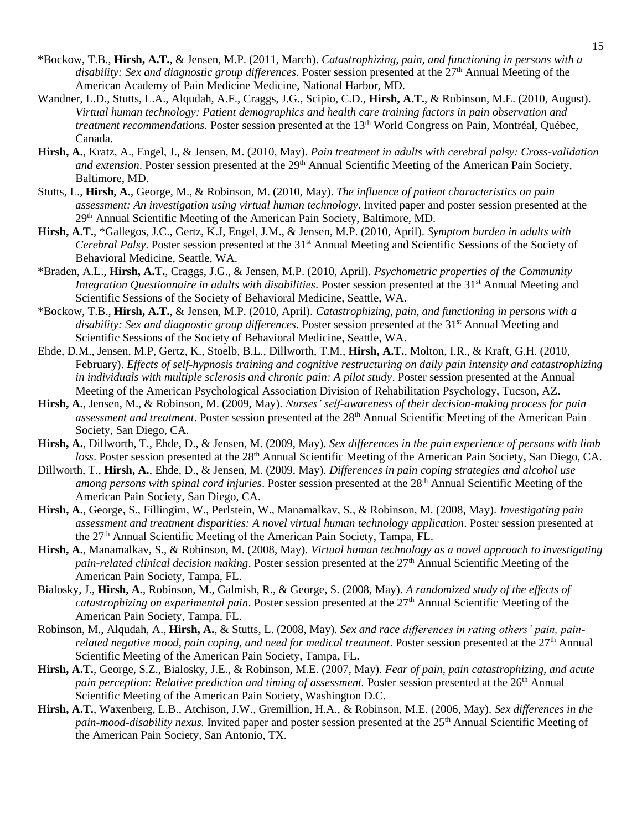- \*Bockow, T.B., **Hirsh, A.T.**, & Jensen, M.P. (2011, March). *Catastrophizing, pain, and functioning in persons with a*  disability: Sex and diagnostic group differences. Poster session presented at the 27<sup>th</sup> Annual Meeting of the American Academy of Pain Medicine Medicine, National Harbor, MD.
- Wandner, L.D., Stutts, L.A., Alqudah, A.F., Craggs, J.G., Scipio, C.D., **Hirsh, A.T.**, & Robinson, M.E. (2010, August). *Virtual human technology: Patient demographics and health care training factors in pain observation and treatment recommendations.* Poster session presented at the 13<sup>th</sup> World Congress on Pain, Montréal, Québec, Canada.
- **Hirsh, A.**, Kratz, A., Engel, J., & Jensen, M. (2010, May). *Pain treatment in adults with cerebral palsy: Cross-validation*  and extension. Poster session presented at the 29<sup>th</sup> Annual Scientific Meeting of the American Pain Society, Baltimore, MD.
- Stutts, L., **Hirsh, A.**, George, M., & Robinson, M. (2010, May). *The influence of patient characteristics on pain assessment: An investigation using virtual human technology*. Invited paper and poster session presented at the 29th Annual Scientific Meeting of the American Pain Society, Baltimore, MD.
- **Hirsh, A.T.**, \*Gallegos, J.C., Gertz, K.J, Engel, J.M., & Jensen, M.P. (2010, April). *Symptom burden in adults with Cerebral Palsy*. Poster session presented at the 31<sup>st</sup> Annual Meeting and Scientific Sessions of the Society of Behavioral Medicine, Seattle, WA.
- \*Braden, A.L., **Hirsh, A.T.**, Craggs, J.G., & Jensen, M.P. (2010, April). *Psychometric properties of the Community Integration Questionnaire in adults with disabilities.* Poster session presented at the 31<sup>st</sup> Annual Meeting and Scientific Sessions of the Society of Behavioral Medicine, Seattle, WA.
- \*Bockow, T.B., **Hirsh, A.T.**, & Jensen, M.P. (2010, April). *Catastrophizing, pain, and functioning in persons with a disability: Sex and diagnostic group differences.* Poster session presented at the 31<sup>st</sup> Annual Meeting and Scientific Sessions of the Society of Behavioral Medicine, Seattle, WA.
- Ehde, D.M., Jensen, M.P, Gertz, K., Stoelb, B.L., Dillworth, T.M., **Hirsh, A.T.**, Molton, I.R., & Kraft, G.H. (2010, February). *Effects of self-hypnosis training and cognitive restructuring on daily pain intensity and catastrophizing in individuals with multiple sclerosis and chronic pain: A pilot study*. Poster session presented at the Annual Meeting of the American Psychological Association Division of Rehabilitation Psychology, Tucson, AZ.
- **Hirsh, A.**, Jensen, M., & Robinson, M. (2009, May). *Nurses' self-awareness of their decision-making process for pain assessment and treatment*. Poster session presented at the 28<sup>th</sup> Annual Scientific Meeting of the American Pain Society, San Diego, CA.
- **Hirsh, A.**, Dillworth, T., Ehde, D., & Jensen, M. (2009, May). *Sex differences in the pain experience of persons with limb loss*. Poster session presented at the 28<sup>th</sup> Annual Scientific Meeting of the American Pain Society, San Diego, CA.
- Dillworth, T., **Hirsh, A.**, Ehde, D., & Jensen, M. (2009, May). *Differences in pain coping strategies and alcohol use among persons with spinal cord injuries*. Poster session presented at the 28<sup>th</sup> Annual Scientific Meeting of the American Pain Society, San Diego, CA.
- **Hirsh, A.**, George, S., Fillingim, W., Perlstein, W., Manamalkav, S., & Robinson, M. (2008, May). *Investigating pain assessment and treatment disparities: A novel virtual human technology application*. Poster session presented at the 27<sup>th</sup> Annual Scientific Meeting of the American Pain Society, Tampa, FL.
- **Hirsh, A.**, Manamalkav, S., & Robinson, M. (2008, May). *Virtual human technology as a novel approach to investigating pain-related clinical decision making*. Poster session presented at the 27th Annual Scientific Meeting of the American Pain Society, Tampa, FL.
- Bialosky, J., **Hirsh, A.**, Robinson, M., Galmish, R., & George, S. (2008, May). *A randomized study of the effects of catastrophizing on experimental pain*. Poster session presented at the 27th Annual Scientific Meeting of the American Pain Society, Tampa, FL.
- Robinson, M., Alqudah, A., **Hirsh, A.**, & Stutts, L. (2008, May). *Sex and race differences in rating others' pain, painrelated negative mood, pain coping, and need for medical treatment*. Poster session presented at the 27<sup>th</sup> Annual Scientific Meeting of the American Pain Society, Tampa, FL.
- **Hirsh, A.T.**, George, S.Z., Bialosky, J.E., & Robinson, M.E. (2007, May). *Fear of pain, pain catastrophizing, and acute pain perception: Relative prediction and timing of assessment.* Poster session presented at the 26<sup>th</sup> Annual Scientific Meeting of the American Pain Society, Washington D.C.
- **Hirsh, A.T.**, Waxenberg, L.B., Atchison, J.W., Gremillion, H.A., & Robinson, M.E. (2006, May). *Sex differences in the pain-mood-disability nexus.* Invited paper and poster session presented at the 25th Annual Scientific Meeting of the American Pain Society, San Antonio, TX.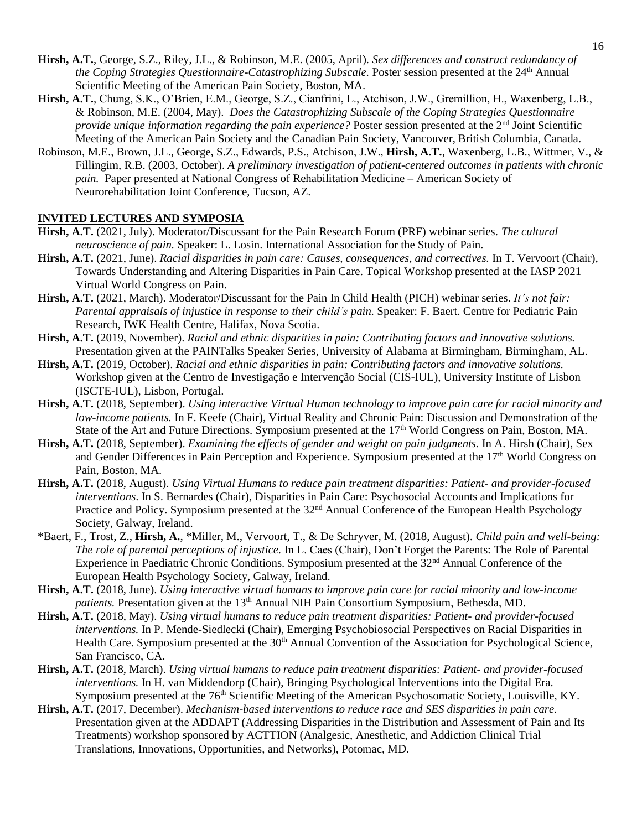- **Hirsh, A.T.**, George, S.Z., Riley, J.L., & Robinson, M.E. (2005, April). *Sex differences and construct redundancy of the Coping Strategies Questionnaire-Catastrophizing Subscale.* Poster session presented at the 24<sup>th</sup> Annual Scientific Meeting of the American Pain Society, Boston, MA.
- **Hirsh, A.T.**, Chung, S.K., O'Brien, E.M., George, S.Z., Cianfrini, L., Atchison, J.W., Gremillion, H., Waxenberg, L.B., & Robinson, M.E. (2004, May). *Does the Catastrophizing Subscale of the Coping Strategies Questionnaire provide unique information regarding the pain experience?* Poster session presented at the 2<sup>nd</sup> Joint Scientific Meeting of the American Pain Society and the Canadian Pain Society, Vancouver, British Columbia, Canada.
- Robinson, M.E., Brown, J.L., George, S.Z., Edwards, P.S., Atchison, J.W., **Hirsh, A.T.**, Waxenberg, L.B., Wittmer, V., & Fillingim, R.B. (2003, October). *A preliminary investigation of patient-centered outcomes in patients with chronic pain.* Paper presented at National Congress of Rehabilitation Medicine – American Society of Neurorehabilitation Joint Conference, Tucson, AZ.

### **INVITED LECTURES AND SYMPOSIA**

- **Hirsh, A.T.** (2021, July). Moderator/Discussant for the Pain Research Forum (PRF) webinar series. *The cultural neuroscience of pain.* Speaker: L. Losin. International Association for the Study of Pain.
- **Hirsh, A.T.** (2021, June). *Racial disparities in pain care: Causes, consequences, and correctives.* In T. Vervoort (Chair), Towards Understanding and Altering Disparities in Pain Care. Topical Workshop presented at the IASP 2021 Virtual World Congress on Pain.
- **Hirsh, A.T.** (2021, March). Moderator/Discussant for the Pain In Child Health (PICH) webinar series. *It's not fair: Parental appraisals of injustice in response to their child's pain.* Speaker: F. Baert. Centre for Pediatric Pain Research, IWK Health Centre, Halifax, Nova Scotia.
- **Hirsh, A.T.** (2019, November). *Racial and ethnic disparities in pain: Contributing factors and innovative solutions.* Presentation given at the PAINTalks Speaker Series, University of Alabama at Birmingham, Birmingham, AL.
- **Hirsh, A.T.** (2019, October). *Racial and ethnic disparities in pain: Contributing factors and innovative solutions.* Workshop given at the Centro de Investigação e Intervenção Social (CIS-IUL), University Institute of Lisbon (ISCTE-IUL), Lisbon, Portugal.
- **Hirsh, A.T.** (2018, September). *Using interactive Virtual Human technology to improve pain care for racial minority and low-income patients.* In F. Keefe (Chair), Virtual Reality and Chronic Pain: Discussion and Demonstration of the State of the Art and Future Directions. Symposium presented at the 17<sup>th</sup> World Congress on Pain, Boston, MA.
- **Hirsh, A.T.** (2018, September). *Examining the effects of gender and weight on pain judgments.* In A. Hirsh (Chair), Sex and Gender Differences in Pain Perception and Experience. Symposium presented at the 17<sup>th</sup> World Congress on Pain, Boston, MA.
- **Hirsh, A.T.** (2018, August). *Using Virtual Humans to reduce pain treatment disparities: Patient- and provider-focused interventions*. In S. Bernardes (Chair), Disparities in Pain Care: Psychosocial Accounts and Implications for Practice and Policy. Symposium presented at the 32<sup>nd</sup> Annual Conference of the European Health Psychology Society, Galway, Ireland.
- \*Baert, F., Trost, Z., **Hirsh, A.**, \*Miller, M., Vervoort, T., & De Schryver, M. (2018, August). *Child pain and well-being: The role of parental perceptions of injustice.* In L. Caes (Chair), Don't Forget the Parents: The Role of Parental Experience in Paediatric Chronic Conditions. Symposium presented at the 32<sup>nd</sup> Annual Conference of the European Health Psychology Society, Galway, Ireland.
- **Hirsh, A.T.** (2018, June). *Using interactive virtual humans to improve pain care for racial minority and low-income patients.* Presentation given at the 13<sup>th</sup> Annual NIH Pain Consortium Symposium, Bethesda, MD.
- **Hirsh, A.T.** (2018, May). *Using virtual humans to reduce pain treatment disparities: Patient- and provider-focused interventions.* In P. Mende-Siedlecki (Chair), Emerging Psychobiosocial Perspectives on Racial Disparities in Health Care. Symposium presented at the 30<sup>th</sup> Annual Convention of the Association for Psychological Science, San Francisco, CA.
- **Hirsh, A.T.** (2018, March). *Using virtual humans to reduce pain treatment disparities: Patient- and provider-focused interventions.* In H. van Middendorp (Chair), Bringing Psychological Interventions into the Digital Era. Symposium presented at the 76<sup>th</sup> Scientific Meeting of the American Psychosomatic Society, Louisville, KY.
- **Hirsh, A.T.** (2017, December). *Mechanism-based interventions to reduce race and SES disparities in pain care.*  Presentation given at the ADDAPT (Addressing Disparities in the Distribution and Assessment of Pain and Its Treatments) workshop sponsored by ACTTION (Analgesic, Anesthetic, and Addiction Clinical Trial Translations, Innovations, Opportunities, and Networks), Potomac, MD.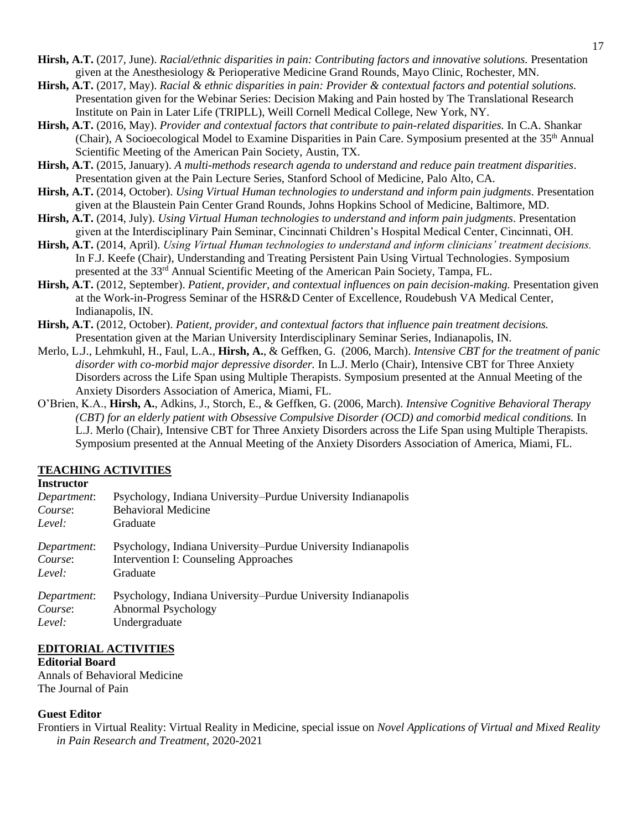- **Hirsh, A.T.** (2017, June). *Racial/ethnic disparities in pain: Contributing factors and innovative solutions.* Presentation given at the Anesthesiology & Perioperative Medicine Grand Rounds, Mayo Clinic, Rochester, MN.
- **Hirsh, A.T.** (2017, May). *Racial & ethnic disparities in pain: Provider & contextual factors and potential solutions.*  Presentation given for the Webinar Series: Decision Making and Pain hosted by The Translational Research Institute on Pain in Later Life (TRIPLL), Weill Cornell Medical College, New York, NY.
- **Hirsh, A.T.** (2016, May). *Provider and contextual factors that contribute to pain-related disparities.* In C.A. Shankar (Chair), A Socioecological Model to Examine Disparities in Pain Care. Symposium presented at the 35<sup>th</sup> Annual Scientific Meeting of the American Pain Society, Austin, TX.
- **Hirsh, A.T.** (2015, January). *A multi-methods research agenda to understand and reduce pain treatment disparities*. Presentation given at the Pain Lecture Series, Stanford School of Medicine, Palo Alto, CA.
- **Hirsh, A.T.** (2014, October). *Using Virtual Human technologies to understand and inform pain judgments*. Presentation given at the Blaustein Pain Center Grand Rounds, Johns Hopkins School of Medicine, Baltimore, MD.
- **Hirsh, A.T.** (2014, July). *Using Virtual Human technologies to understand and inform pain judgments*. Presentation given at the Interdisciplinary Pain Seminar, Cincinnati Children's Hospital Medical Center, Cincinnati, OH.
- **Hirsh, A.T.** (2014, April). *Using Virtual Human technologies to understand and inform clinicians' treatment decisions.* In F.J. Keefe (Chair), Understanding and Treating Persistent Pain Using Virtual Technologies. Symposium presented at the 33<sup>rd</sup> Annual Scientific Meeting of the American Pain Society, Tampa, FL.
- **Hirsh, A.T.** (2012, September). *Patient, provider, and contextual influences on pain decision-making.* Presentation given at the Work-in-Progress Seminar of the HSR&D Center of Excellence, Roudebush VA Medical Center, Indianapolis, IN.
- **Hirsh, A.T.** (2012, October). *Patient, provider, and contextual factors that influence pain treatment decisions.* Presentation given at the Marian University Interdisciplinary Seminar Series, Indianapolis, IN.
- Merlo, L.J., Lehmkuhl, H., Faul, L.A., **Hirsh, A.**, & Geffken, G. (2006, March). *Intensive CBT for the treatment of panic disorder with co-morbid major depressive disorder.* In L.J. Merlo (Chair), Intensive CBT for Three Anxiety Disorders across the Life Span using Multiple Therapists. Symposium presented at the Annual Meeting of the Anxiety Disorders Association of America, Miami, FL.
- O'Brien, K.A., **Hirsh, A.**, Adkins, J., Storch, E., & Geffken, G. (2006, March). *Intensive Cognitive Behavioral Therapy (CBT) for an elderly patient with Obsessive Compulsive Disorder (OCD) and comorbid medical conditions.* In L.J. Merlo (Chair), Intensive CBT for Three Anxiety Disorders across the Life Span using Multiple Therapists. Symposium presented at the Annual Meeting of the Anxiety Disorders Association of America, Miami, FL.

# **TEACHING ACTIVITIES**

## **Instructor**

| Department: | Psychology, Indiana University–Purdue University Indianapolis |
|-------------|---------------------------------------------------------------|
| Course:     | <b>Behavioral Medicine</b>                                    |
| Level:      | Graduate                                                      |
| Department: | Psychology, Indiana University–Purdue University Indianapolis |
| Course:     | Intervention I: Counseling Approaches                         |
| Level:      | Graduate                                                      |
| Department: | Psychology, Indiana University–Purdue University Indianapolis |
| Course:     | Abnormal Psychology                                           |
| Level:      | Undergraduate                                                 |

# **EDITORIAL ACTIVITIES**

### **Editorial Board**

Annals of Behavioral Medicine The Journal of Pain

## **Guest Editor**

Frontiers in Virtual Reality: Virtual Reality in Medicine, special issue on *Novel Applications of Virtual and Mixed Reality in Pain Research and Treatment*, 2020-2021